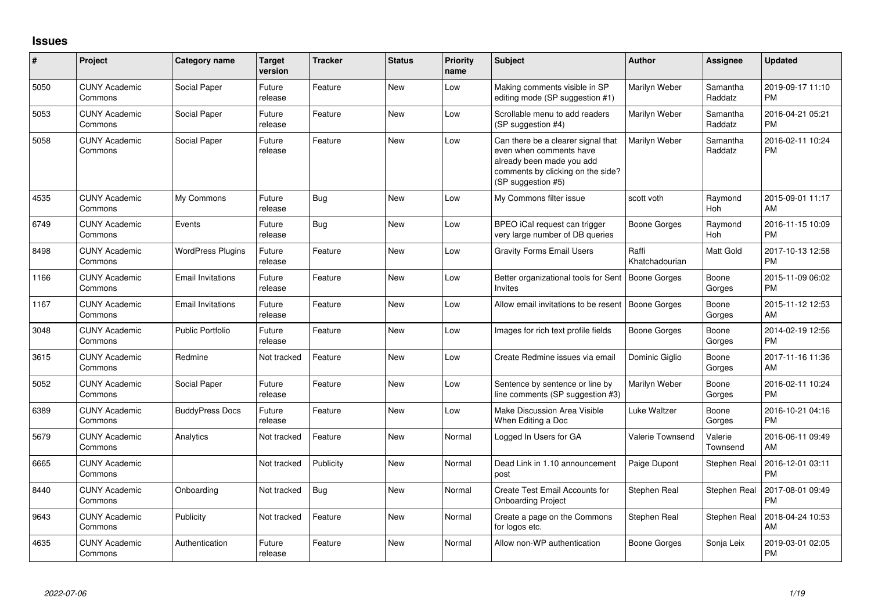## **Issues**

| #    | Project                         | Category name            | <b>Target</b><br>version | <b>Tracker</b> | <b>Status</b> | <b>Priority</b><br>name | Subject                                                                                                                                               | <b>Author</b>           | <b>Assignee</b>     | <b>Updated</b>                |
|------|---------------------------------|--------------------------|--------------------------|----------------|---------------|-------------------------|-------------------------------------------------------------------------------------------------------------------------------------------------------|-------------------------|---------------------|-------------------------------|
| 5050 | <b>CUNY Academic</b><br>Commons | Social Paper             | Future<br>release        | Feature        | New           | Low                     | Making comments visible in SP<br>editing mode (SP suggestion #1)                                                                                      | Marilyn Weber           | Samantha<br>Raddatz | 2019-09-17 11:10<br><b>PM</b> |
| 5053 | <b>CUNY Academic</b><br>Commons | Social Paper             | Future<br>release        | Feature        | <b>New</b>    | Low                     | Scrollable menu to add readers<br>(SP suggestion #4)                                                                                                  | Marilyn Weber           | Samantha<br>Raddatz | 2016-04-21 05:21<br><b>PM</b> |
| 5058 | <b>CUNY Academic</b><br>Commons | Social Paper             | Future<br>release        | Feature        | <b>New</b>    | Low                     | Can there be a clearer signal that<br>even when comments have<br>already been made you add<br>comments by clicking on the side?<br>(SP suggestion #5) | Marilyn Weber           | Samantha<br>Raddatz | 2016-02-11 10:24<br><b>PM</b> |
| 4535 | <b>CUNY Academic</b><br>Commons | My Commons               | Future<br>release        | Bug            | New           | Low                     | My Commons filter issue                                                                                                                               | scott voth              | Raymond<br>Hoh      | 2015-09-01 11:17<br>AM        |
| 6749 | <b>CUNY Academic</b><br>Commons | Events                   | Future<br>release        | Bug            | New           | Low                     | BPEO iCal request can trigger<br>very large number of DB queries                                                                                      | Boone Gorges            | Raymond<br>Hoh      | 2016-11-15 10:09<br><b>PM</b> |
| 8498 | <b>CUNY Academic</b><br>Commons | <b>WordPress Plugins</b> | Future<br>release        | Feature        | <b>New</b>    | Low                     | <b>Gravity Forms Email Users</b>                                                                                                                      | Raffi<br>Khatchadourian | Matt Gold           | 2017-10-13 12:58<br><b>PM</b> |
| 1166 | <b>CUNY Academic</b><br>Commons | <b>Email Invitations</b> | Future<br>release        | Feature        | New           | Low                     | Better organizational tools for Sent<br><b>Invites</b>                                                                                                | Boone Gorges            | Boone<br>Gorges     | 2015-11-09 06:02<br><b>PM</b> |
| 1167 | <b>CUNY Academic</b><br>Commons | <b>Email Invitations</b> | Future<br>release        | Feature        | <b>New</b>    | Low                     | Allow email invitations to be resent   Boone Gorges                                                                                                   |                         | Boone<br>Gorges     | 2015-11-12 12:53<br>AM        |
| 3048 | <b>CUNY Academic</b><br>Commons | Public Portfolio         | Future<br>release        | Feature        | <b>New</b>    | Low                     | Images for rich text profile fields                                                                                                                   | Boone Gorges            | Boone<br>Gorges     | 2014-02-19 12:56<br><b>PM</b> |
| 3615 | <b>CUNY Academic</b><br>Commons | Redmine                  | Not tracked              | Feature        | New           | Low                     | Create Redmine issues via email                                                                                                                       | Dominic Giglio          | Boone<br>Gorges     | 2017-11-16 11:36<br>AM        |
| 5052 | <b>CUNY Academic</b><br>Commons | Social Paper             | Future<br>release        | Feature        | New           | Low                     | Sentence by sentence or line by<br>line comments (SP suggestion #3)                                                                                   | Marilyn Weber           | Boone<br>Gorges     | 2016-02-11 10:24<br><b>PM</b> |
| 6389 | <b>CUNY Academic</b><br>Commons | <b>BuddyPress Docs</b>   | Future<br>release        | Feature        | New           | Low                     | Make Discussion Area Visible<br>When Editing a Doc                                                                                                    | Luke Waltzer            | Boone<br>Gorges     | 2016-10-21 04:16<br><b>PM</b> |
| 5679 | <b>CUNY Academic</b><br>Commons | Analytics                | Not tracked              | Feature        | <b>New</b>    | Normal                  | Logged In Users for GA                                                                                                                                | <b>Valerie Townsend</b> | Valerie<br>Townsend | 2016-06-11 09:49<br>AM        |
| 6665 | <b>CUNY Academic</b><br>Commons |                          | Not tracked              | Publicity      | New           | Normal                  | Dead Link in 1.10 announcement<br>post                                                                                                                | Paige Dupont            | Stephen Real        | 2016-12-01 03:11<br><b>PM</b> |
| 8440 | <b>CUNY Academic</b><br>Commons | Onboarding               | Not tracked              | Bug            | <b>New</b>    | Normal                  | Create Test Email Accounts for<br><b>Onboarding Project</b>                                                                                           | Stephen Real            | Stephen Real        | 2017-08-01 09:49<br><b>PM</b> |
| 9643 | <b>CUNY Academic</b><br>Commons | Publicity                | Not tracked              | Feature        | <b>New</b>    | Normal                  | Create a page on the Commons<br>for logos etc.                                                                                                        | Stephen Real            | Stephen Real        | 2018-04-24 10:53<br>AM        |
| 4635 | <b>CUNY Academic</b><br>Commons | Authentication           | Future<br>release        | Feature        | <b>New</b>    | Normal                  | Allow non-WP authentication                                                                                                                           | Boone Gorges            | Sonja Leix          | 2019-03-01 02:05<br><b>PM</b> |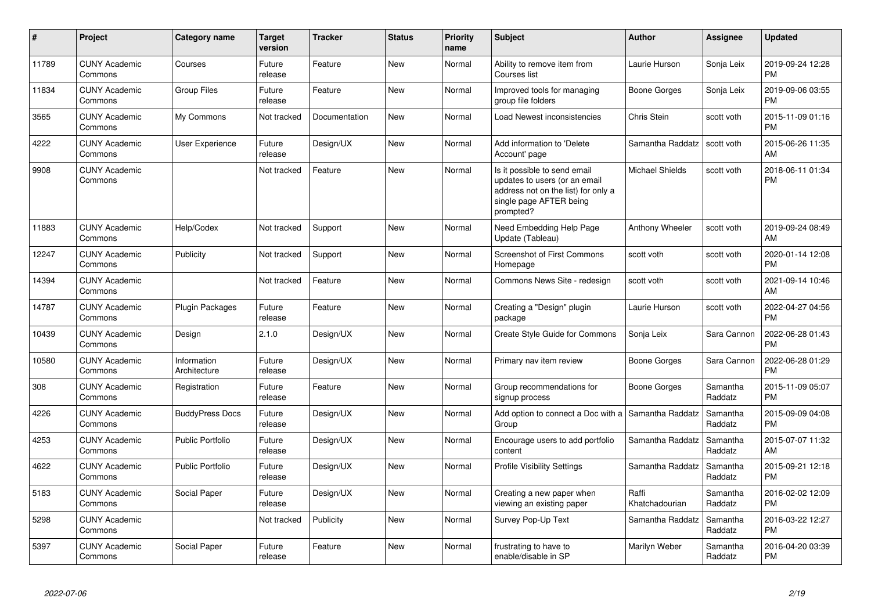| #     | Project                         | <b>Category name</b>        | <b>Target</b><br>version | <b>Tracker</b> | <b>Status</b> | <b>Priority</b><br>name | <b>Subject</b>                                                                                                                               | Author                  | <b>Assignee</b>     | <b>Updated</b>                |
|-------|---------------------------------|-----------------------------|--------------------------|----------------|---------------|-------------------------|----------------------------------------------------------------------------------------------------------------------------------------------|-------------------------|---------------------|-------------------------------|
| 11789 | <b>CUNY Academic</b><br>Commons | Courses                     | Future<br>release        | Feature        | <b>New</b>    | Normal                  | Ability to remove item from<br>Courses list                                                                                                  | Laurie Hurson           | Sonja Leix          | 2019-09-24 12:28<br><b>PM</b> |
| 11834 | <b>CUNY Academic</b><br>Commons | <b>Group Files</b>          | Future<br>release        | Feature        | <b>New</b>    | Normal                  | Improved tools for managing<br>group file folders                                                                                            | Boone Gorges            | Sonja Leix          | 2019-09-06 03:55<br><b>PM</b> |
| 3565  | <b>CUNY Academic</b><br>Commons | My Commons                  | Not tracked              | Documentation  | New           | Normal                  | Load Newest inconsistencies                                                                                                                  | Chris Stein             | scott voth          | 2015-11-09 01:16<br><b>PM</b> |
| 4222  | <b>CUNY Academic</b><br>Commons | User Experience             | Future<br>release        | Design/UX      | New           | Normal                  | Add information to 'Delete<br>Account' page                                                                                                  | Samantha Raddatz        | scott voth          | 2015-06-26 11:35<br>AM        |
| 9908  | <b>CUNY Academic</b><br>Commons |                             | Not tracked              | Feature        | New           | Normal                  | Is it possible to send email<br>updates to users (or an email<br>address not on the list) for only a<br>single page AFTER being<br>prompted? | <b>Michael Shields</b>  | scott voth          | 2018-06-11 01:34<br><b>PM</b> |
| 11883 | <b>CUNY Academic</b><br>Commons | Help/Codex                  | Not tracked              | Support        | <b>New</b>    | Normal                  | Need Embedding Help Page<br>Update (Tableau)                                                                                                 | Anthony Wheeler         | scott voth          | 2019-09-24 08:49<br>AM        |
| 12247 | <b>CUNY Academic</b><br>Commons | Publicity                   | Not tracked              | Support        | New           | Normal                  | Screenshot of First Commons<br>Homepage                                                                                                      | scott voth              | scott voth          | 2020-01-14 12:08<br><b>PM</b> |
| 14394 | <b>CUNY Academic</b><br>Commons |                             | Not tracked              | Feature        | New           | Normal                  | Commons News Site - redesign                                                                                                                 | scott voth              | scott voth          | 2021-09-14 10:46<br>AM        |
| 14787 | <b>CUNY Academic</b><br>Commons | <b>Plugin Packages</b>      | Future<br>release        | Feature        | New           | Normal                  | Creating a "Design" plugin<br>package                                                                                                        | Laurie Hurson           | scott voth          | 2022-04-27 04:56<br><b>PM</b> |
| 10439 | <b>CUNY Academic</b><br>Commons | Design                      | 2.1.0                    | Design/UX      | <b>New</b>    | Normal                  | Create Style Guide for Commons                                                                                                               | Sonja Leix              | Sara Cannon         | 2022-06-28 01:43<br><b>PM</b> |
| 10580 | <b>CUNY Academic</b><br>Commons | Information<br>Architecture | Future<br>release        | Design/UX      | <b>New</b>    | Normal                  | Primary nav item review                                                                                                                      | Boone Gorges            | Sara Cannon         | 2022-06-28 01:29<br><b>PM</b> |
| 308   | <b>CUNY Academic</b><br>Commons | Registration                | Future<br>release        | Feature        | <b>New</b>    | Normal                  | Group recommendations for<br>signup process                                                                                                  | Boone Gorges            | Samantha<br>Raddatz | 2015-11-09 05:07<br><b>PM</b> |
| 4226  | <b>CUNY Academic</b><br>Commons | <b>BuddyPress Docs</b>      | Future<br>release        | Design/UX      | <b>New</b>    | Normal                  | Add option to connect a Doc with a Samantha Raddatz<br>Group                                                                                 |                         | Samantha<br>Raddatz | 2015-09-09 04:08<br><b>PM</b> |
| 4253  | <b>CUNY Academic</b><br>Commons | <b>Public Portfolio</b>     | Future<br>release        | Design/UX      | New           | Normal                  | Encourage users to add portfolio<br>content                                                                                                  | Samantha Raddatz        | Samantha<br>Raddatz | 2015-07-07 11:32<br>AM        |
| 4622  | <b>CUNY Academic</b><br>Commons | <b>Public Portfolio</b>     | Future<br>release        | Design/UX      | New           | Normal                  | <b>Profile Visibility Settings</b>                                                                                                           | Samantha Raddatz        | Samantha<br>Raddatz | 2015-09-21 12:18<br><b>PM</b> |
| 5183  | <b>CUNY Academic</b><br>Commons | Social Paper                | Future<br>release        | Design/UX      | New           | Normal                  | Creating a new paper when<br>viewing an existing paper                                                                                       | Raffi<br>Khatchadourian | Samantha<br>Raddatz | 2016-02-02 12:09<br><b>PM</b> |
| 5298  | <b>CUNY Academic</b><br>Commons |                             | Not tracked              | Publicity      | New           | Normal                  | Survey Pop-Up Text                                                                                                                           | Samantha Raddatz        | Samantha<br>Raddatz | 2016-03-22 12:27<br><b>PM</b> |
| 5397  | <b>CUNY Academic</b><br>Commons | Social Paper                | Future<br>release        | Feature        | <b>New</b>    | Normal                  | frustrating to have to<br>enable/disable in SP                                                                                               | Marilyn Weber           | Samantha<br>Raddatz | 2016-04-20 03:39<br><b>PM</b> |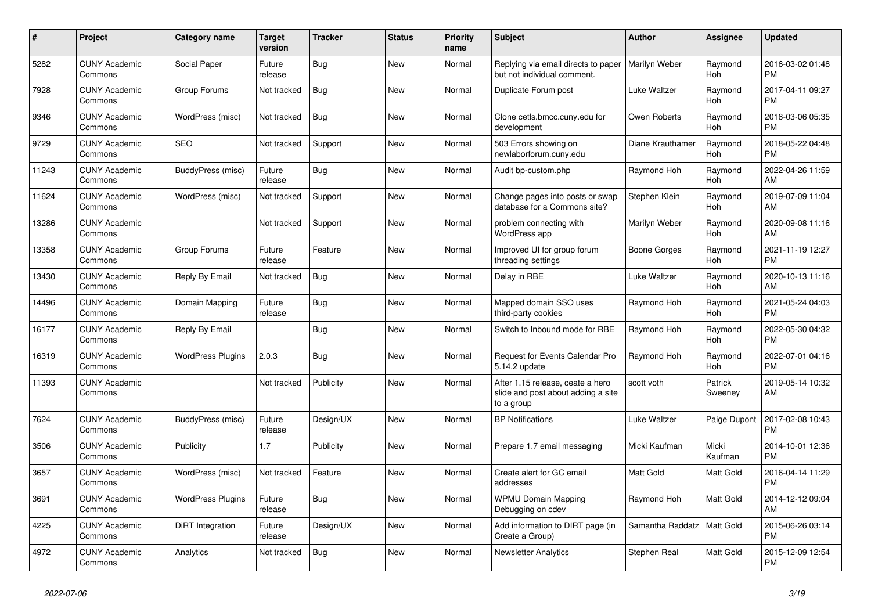| #     | <b>Project</b>                  | <b>Category name</b>     | <b>Target</b><br>version | <b>Tracker</b> | <b>Status</b> | <b>Priority</b><br>name | <b>Subject</b>                                                                       | <b>Author</b>    | Assignee           | <b>Updated</b>                |
|-------|---------------------------------|--------------------------|--------------------------|----------------|---------------|-------------------------|--------------------------------------------------------------------------------------|------------------|--------------------|-------------------------------|
| 5282  | <b>CUNY Academic</b><br>Commons | Social Paper             | Future<br>release        | Bug            | New           | Normal                  | Replying via email directs to paper<br>but not individual comment.                   | Marilyn Weber    | Raymond<br>Hoh     | 2016-03-02 01:48<br><b>PM</b> |
| 7928  | <b>CUNY Academic</b><br>Commons | Group Forums             | Not tracked              | <b>Bug</b>     | New           | Normal                  | Duplicate Forum post                                                                 | Luke Waltzer     | Raymond<br>Hoh     | 2017-04-11 09:27<br><b>PM</b> |
| 9346  | <b>CUNY Academic</b><br>Commons | WordPress (misc)         | Not tracked              | Bug            | New           | Normal                  | Clone cetls.bmcc.cuny.edu for<br>development                                         | Owen Roberts     | Raymond<br>Hoh     | 2018-03-06 05:35<br><b>PM</b> |
| 9729  | <b>CUNY Academic</b><br>Commons | <b>SEO</b>               | Not tracked              | Support        | <b>New</b>    | Normal                  | 503 Errors showing on<br>newlaborforum.cuny.edu                                      | Diane Krauthamer | Raymond<br>Hoh     | 2018-05-22 04:48<br><b>PM</b> |
| 11243 | <b>CUNY Academic</b><br>Commons | BuddyPress (misc)        | Future<br>release        | Bug            | New           | Normal                  | Audit bp-custom.php                                                                  | Raymond Hoh      | Raymond<br>Hoh     | 2022-04-26 11:59<br>AM        |
| 11624 | <b>CUNY Academic</b><br>Commons | WordPress (misc)         | Not tracked              | Support        | New           | Normal                  | Change pages into posts or swap<br>database for a Commons site?                      | Stephen Klein    | Raymond<br>Hoh     | 2019-07-09 11:04<br>AM        |
| 13286 | <b>CUNY Academic</b><br>Commons |                          | Not tracked              | Support        | <b>New</b>    | Normal                  | problem connecting with<br>WordPress app                                             | Marilyn Weber    | Raymond<br>Hoh     | 2020-09-08 11:16<br>AM        |
| 13358 | <b>CUNY Academic</b><br>Commons | Group Forums             | Future<br>release        | Feature        | <b>New</b>    | Normal                  | Improved UI for group forum<br>threading settings                                    | Boone Gorges     | Raymond<br>Hoh     | 2021-11-19 12:27<br><b>PM</b> |
| 13430 | <b>CUNY Academic</b><br>Commons | Reply By Email           | Not tracked              | Bug            | New           | Normal                  | Delay in RBE                                                                         | Luke Waltzer     | Raymond<br>Hoh     | 2020-10-13 11:16<br>AM        |
| 14496 | <b>CUNY Academic</b><br>Commons | Domain Mapping           | Future<br>release        | Bug            | <b>New</b>    | Normal                  | Mapped domain SSO uses<br>third-party cookies                                        | Raymond Hoh      | Raymond<br>Hoh     | 2021-05-24 04:03<br><b>PM</b> |
| 16177 | <b>CUNY Academic</b><br>Commons | Reply By Email           |                          | Bug            | <b>New</b>    | Normal                  | Switch to Inbound mode for RBE                                                       | Raymond Hoh      | Raymond<br>Hoh     | 2022-05-30 04:32<br><b>PM</b> |
| 16319 | <b>CUNY Academic</b><br>Commons | <b>WordPress Plugins</b> | 2.0.3                    | Bug            | New           | Normal                  | <b>Request for Events Calendar Pro</b><br>5.14.2 update                              | Raymond Hoh      | Raymond<br>Hoh     | 2022-07-01 04:16<br><b>PM</b> |
| 11393 | <b>CUNY Academic</b><br>Commons |                          | Not tracked              | Publicity      | New           | Normal                  | After 1.15 release, ceate a hero<br>slide and post about adding a site<br>to a group | scott voth       | Patrick<br>Sweeney | 2019-05-14 10:32<br>AM        |
| 7624  | <b>CUNY Academic</b><br>Commons | BuddyPress (misc)        | Future<br>release        | Design/UX      | New           | Normal                  | <b>BP Notifications</b>                                                              | Luke Waltzer     | Paige Dupont       | 2017-02-08 10:43<br><b>PM</b> |
| 3506  | <b>CUNY Academic</b><br>Commons | Publicity                | 1.7                      | Publicity      | New           | Normal                  | Prepare 1.7 email messaging                                                          | Micki Kaufman    | Micki<br>Kaufman   | 2014-10-01 12:36<br><b>PM</b> |
| 3657  | <b>CUNY Academic</b><br>Commons | WordPress (misc)         | Not tracked              | Feature        | <b>New</b>    | Normal                  | Create alert for GC email<br>addresses                                               | <b>Matt Gold</b> | Matt Gold          | 2016-04-14 11:29<br><b>PM</b> |
| 3691  | <b>CUNY Academic</b><br>Commons | <b>WordPress Plugins</b> | Future<br>release        | <b>Bug</b>     | <b>New</b>    | Normal                  | <b>WPMU Domain Mapping</b><br>Debugging on cdev                                      | Raymond Hoh      | Matt Gold          | 2014-12-12 09:04<br>AM        |
| 4225  | <b>CUNY Academic</b><br>Commons | DiRT Integration         | Future<br>release        | Design/UX      | New           | Normal                  | Add information to DIRT page (in<br>Create a Group)                                  | Samantha Raddatz | Matt Gold          | 2015-06-26 03:14<br><b>PM</b> |
| 4972  | <b>CUNY Academic</b><br>Commons | Analytics                | Not tracked              | <b>Bug</b>     | <b>New</b>    | Normal                  | <b>Newsletter Analytics</b>                                                          | Stephen Real     | Matt Gold          | 2015-12-09 12:54<br><b>PM</b> |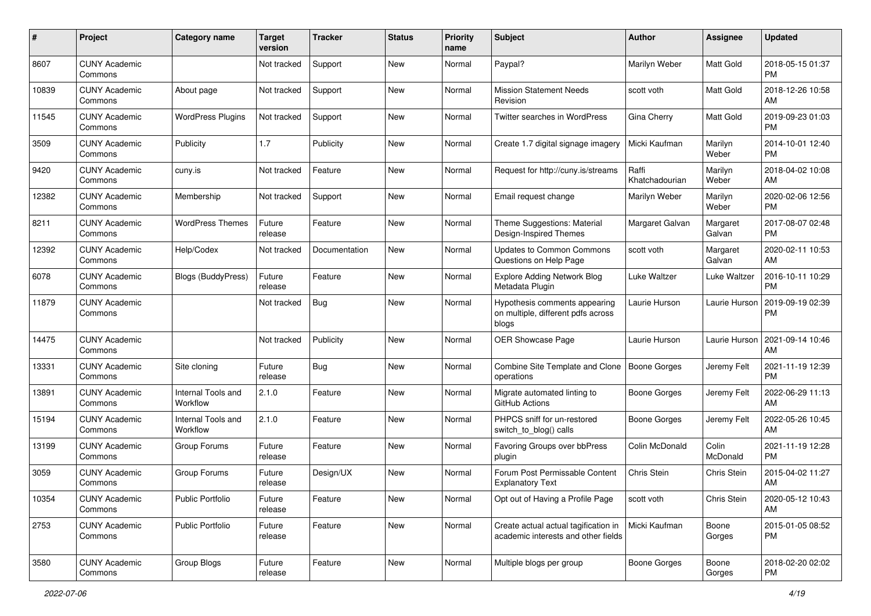| #     | Project                         | <b>Category name</b>           | <b>Target</b><br>version | <b>Tracker</b> | <b>Status</b> | <b>Priority</b><br>name | <b>Subject</b>                                                               | <b>Author</b>           | <b>Assignee</b>    | <b>Updated</b>                |
|-------|---------------------------------|--------------------------------|--------------------------|----------------|---------------|-------------------------|------------------------------------------------------------------------------|-------------------------|--------------------|-------------------------------|
| 8607  | <b>CUNY Academic</b><br>Commons |                                | Not tracked              | Support        | New           | Normal                  | Paypal?                                                                      | Marilyn Weber           | Matt Gold          | 2018-05-15 01:37<br><b>PM</b> |
| 10839 | <b>CUNY Academic</b><br>Commons | About page                     | Not tracked              | Support        | New           | Normal                  | <b>Mission Statement Needs</b><br>Revision                                   | scott voth              | Matt Gold          | 2018-12-26 10:58<br>AM        |
| 11545 | <b>CUNY Academic</b><br>Commons | <b>WordPress Plugins</b>       | Not tracked              | Support        | New           | Normal                  | Twitter searches in WordPress                                                | Gina Cherry             | Matt Gold          | 2019-09-23 01:03<br><b>PM</b> |
| 3509  | <b>CUNY Academic</b><br>Commons | Publicity                      | 1.7                      | Publicity      | New           | Normal                  | Create 1.7 digital signage imagery                                           | Micki Kaufman           | Marilyn<br>Weber   | 2014-10-01 12:40<br><b>PM</b> |
| 9420  | <b>CUNY Academic</b><br>Commons | cuny.is                        | Not tracked              | Feature        | <b>New</b>    | Normal                  | Request for http://cuny.is/streams                                           | Raffi<br>Khatchadourian | Marilyn<br>Weber   | 2018-04-02 10:08<br>AM        |
| 12382 | <b>CUNY Academic</b><br>Commons | Membership                     | Not tracked              | Support        | New           | Normal                  | Email request change                                                         | Marilyn Weber           | Marilyn<br>Weber   | 2020-02-06 12:56<br><b>PM</b> |
| 8211  | <b>CUNY Academic</b><br>Commons | <b>WordPress Themes</b>        | Future<br>release        | Feature        | New           | Normal                  | Theme Suggestions: Material<br>Design-Inspired Themes                        | Margaret Galvan         | Margaret<br>Galvan | 2017-08-07 02:48<br><b>PM</b> |
| 12392 | <b>CUNY Academic</b><br>Commons | Help/Codex                     | Not tracked              | Documentation  | New           | Normal                  | Updates to Common Commons<br>Questions on Help Page                          | scott voth              | Margaret<br>Galvan | 2020-02-11 10:53<br>AM        |
| 6078  | <b>CUNY Academic</b><br>Commons | <b>Blogs (BuddyPress)</b>      | Future<br>release        | Feature        | <b>New</b>    | Normal                  | <b>Explore Adding Network Blog</b><br>Metadata Plugin                        | Luke Waltzer            | Luke Waltzer       | 2016-10-11 10:29<br><b>PM</b> |
| 11879 | <b>CUNY Academic</b><br>Commons |                                | Not tracked              | <b>Bug</b>     | New           | Normal                  | Hypothesis comments appearing<br>on multiple, different pdfs across<br>blogs | Laurie Hurson           | Laurie Hurson      | 2019-09-19 02:39<br><b>PM</b> |
| 14475 | <b>CUNY Academic</b><br>Commons |                                | Not tracked              | Publicity      | New           | Normal                  | OER Showcase Page                                                            | Laurie Hurson           | Laurie Hurson      | 2021-09-14 10:46<br>AM        |
| 13331 | CUNY Academic<br>Commons        | Site cloning                   | Future<br>release        | <b>Bug</b>     | <b>New</b>    | Normal                  | Combine Site Template and Clone<br>operations                                | <b>Boone Gorges</b>     | Jeremy Felt        | 2021-11-19 12:39<br><b>PM</b> |
| 13891 | <b>CUNY Academic</b><br>Commons | Internal Tools and<br>Workflow | 2.1.0                    | Feature        | <b>New</b>    | Normal                  | Migrate automated linting to<br>GitHub Actions                               | <b>Boone Gorges</b>     | Jeremy Felt        | 2022-06-29 11:13<br>AM        |
| 15194 | <b>CUNY Academic</b><br>Commons | Internal Tools and<br>Workflow | 2.1.0                    | Feature        | New           | Normal                  | PHPCS sniff for un-restored<br>switch to blog() calls                        | <b>Boone Gorges</b>     | Jeremy Felt        | 2022-05-26 10:45<br>AM        |
| 13199 | <b>CUNY Academic</b><br>Commons | Group Forums                   | Future<br>release        | Feature        | New           | Normal                  | Favoring Groups over bbPress<br>plugin                                       | Colin McDonald          | Colin<br>McDonald  | 2021-11-19 12:28<br><b>PM</b> |
| 3059  | <b>CUNY Academic</b><br>Commons | Group Forums                   | Future<br>release        | Design/UX      | <b>New</b>    | Normal                  | Forum Post Permissable Content<br><b>Explanatory Text</b>                    | Chris Stein             | Chris Stein        | 2015-04-02 11:27<br>AM        |
| 10354 | <b>CUNY Academic</b><br>Commons | <b>Public Portfolio</b>        | Future<br>release        | Feature        | New           | Normal                  | Opt out of Having a Profile Page                                             | scott voth              | Chris Stein        | 2020-05-12 10:43<br>AM        |
| 2753  | <b>CUNY Academic</b><br>Commons | Public Portfolio               | Future<br>release        | Feature        | New           | Normal                  | Create actual actual tagification in<br>academic interests and other fields  | Micki Kaufman           | Boone<br>Gorges    | 2015-01-05 08:52<br><b>PM</b> |
| 3580  | <b>CUNY Academic</b><br>Commons | Group Blogs                    | Future<br>release        | Feature        | New           | Normal                  | Multiple blogs per group                                                     | Boone Gorges            | Boone<br>Gorges    | 2018-02-20 02:02<br>PM        |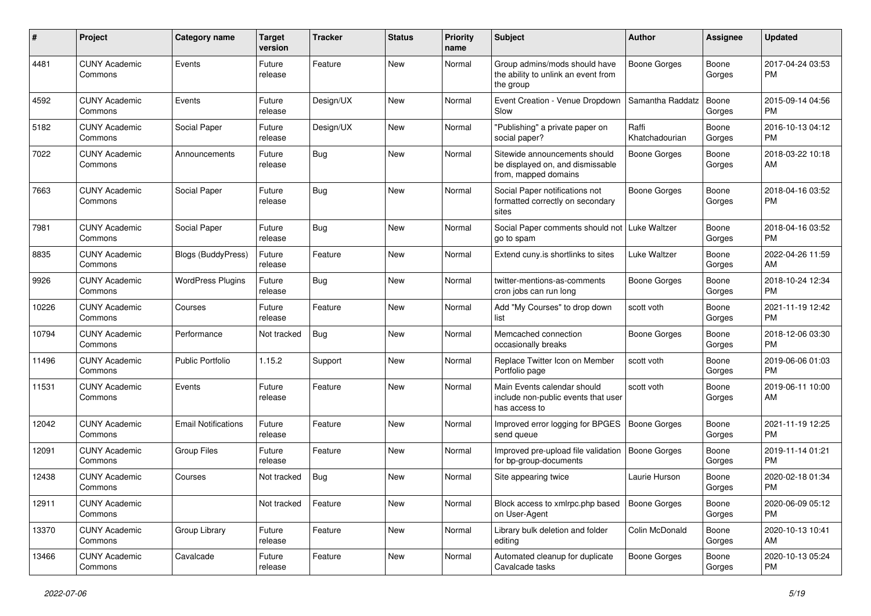| #     | Project                         | Category name              | <b>Target</b><br>version | <b>Tracker</b> | <b>Status</b> | Priority<br>name | Subject                                                                                   | Author                  | <b>Assignee</b> | <b>Updated</b>                |
|-------|---------------------------------|----------------------------|--------------------------|----------------|---------------|------------------|-------------------------------------------------------------------------------------------|-------------------------|-----------------|-------------------------------|
| 4481  | <b>CUNY Academic</b><br>Commons | Events                     | Future<br>release        | Feature        | New           | Normal           | Group admins/mods should have<br>the ability to unlink an event from<br>the group         | <b>Boone Gorges</b>     | Boone<br>Gorges | 2017-04-24 03:53<br>PM        |
| 4592  | <b>CUNY Academic</b><br>Commons | Events                     | Future<br>release        | Design/UX      | <b>New</b>    | Normal           | Event Creation - Venue Dropdown<br>Slow                                                   | Samantha Raddatz        | Boone<br>Gorges | 2015-09-14 04:56<br><b>PM</b> |
| 5182  | <b>CUNY Academic</b><br>Commons | Social Paper               | Future<br>release        | Design/UX      | New           | Normal           | "Publishing" a private paper on<br>social paper?                                          | Raffi<br>Khatchadourian | Boone<br>Gorges | 2016-10-13 04:12<br><b>PM</b> |
| 7022  | <b>CUNY Academic</b><br>Commons | Announcements              | Future<br>release        | Bug            | New           | Normal           | Sitewide announcements should<br>be displayed on, and dismissable<br>from, mapped domains | <b>Boone Gorges</b>     | Boone<br>Gorges | 2018-03-22 10:18<br>AM        |
| 7663  | <b>CUNY Academic</b><br>Commons | Social Paper               | Future<br>release        | Bug            | New           | Normal           | Social Paper notifications not<br>formatted correctly on secondary<br>sites               | <b>Boone Gorges</b>     | Boone<br>Gorges | 2018-04-16 03:52<br><b>PM</b> |
| 7981  | <b>CUNY Academic</b><br>Commons | Social Paper               | Future<br>release        | Bug            | New           | Normal           | Social Paper comments should not   Luke Waltzer<br>go to spam                             |                         | Boone<br>Gorges | 2018-04-16 03:52<br><b>PM</b> |
| 8835  | <b>CUNY Academic</b><br>Commons | Blogs (BuddyPress)         | Future<br>release        | Feature        | <b>New</b>    | Normal           | Extend cuny.is shortlinks to sites                                                        | Luke Waltzer            | Boone<br>Gorges | 2022-04-26 11:59<br>AM        |
| 9926  | <b>CUNY Academic</b><br>Commons | <b>WordPress Plugins</b>   | Future<br>release        | <b>Bug</b>     | <b>New</b>    | Normal           | twitter-mentions-as-comments<br>cron jobs can run long                                    | Boone Gorges            | Boone<br>Gorges | 2018-10-24 12:34<br><b>PM</b> |
| 10226 | <b>CUNY Academic</b><br>Commons | Courses                    | Future<br>release        | Feature        | <b>New</b>    | Normal           | Add "My Courses" to drop down<br>list                                                     | scott voth              | Boone<br>Gorges | 2021-11-19 12:42<br><b>PM</b> |
| 10794 | <b>CUNY Academic</b><br>Commons | Performance                | Not tracked              | Bug            | <b>New</b>    | Normal           | Memcached connection<br>occasionally breaks                                               | Boone Gorges            | Boone<br>Gorges | 2018-12-06 03:30<br><b>PM</b> |
| 11496 | <b>CUNY Academic</b><br>Commons | <b>Public Portfolio</b>    | 1.15.2                   | Support        | New           | Normal           | Replace Twitter Icon on Member<br>Portfolio page                                          | scott voth              | Boone<br>Gorges | 2019-06-06 01:03<br><b>PM</b> |
| 11531 | <b>CUNY Academic</b><br>Commons | Events                     | Future<br>release        | Feature        | <b>New</b>    | Normal           | Main Events calendar should<br>include non-public events that user<br>has access to       | scott voth              | Boone<br>Gorges | 2019-06-11 10:00<br>AM        |
| 12042 | <b>CUNY Academic</b><br>Commons | <b>Email Notifications</b> | Future<br>release        | Feature        | <b>New</b>    | Normal           | Improved error logging for BPGES<br>send queue                                            | <b>Boone Gorges</b>     | Boone<br>Gorges | 2021-11-19 12:25<br><b>PM</b> |
| 12091 | <b>CUNY Academic</b><br>Commons | <b>Group Files</b>         | Future<br>release        | Feature        | New           | Normal           | Improved pre-upload file validation<br>for bp-group-documents                             | <b>Boone Gorges</b>     | Boone<br>Gorges | 2019-11-14 01:21<br><b>PM</b> |
| 12438 | <b>CUNY Academic</b><br>Commons | Courses                    | Not tracked              | <b>Bug</b>     | <b>New</b>    | Normal           | Site appearing twice                                                                      | Laurie Hurson           | Boone<br>Gorges | 2020-02-18 01:34<br><b>PM</b> |
| 12911 | <b>CUNY Academic</b><br>Commons |                            | Not tracked              | Feature        | New           | Normal           | Block access to xmlrpc.php based<br>on User-Agent                                         | <b>Boone Gorges</b>     | Boone<br>Gorges | 2020-06-09 05:12<br><b>PM</b> |
| 13370 | <b>CUNY Academic</b><br>Commons | Group Library              | Future<br>release        | Feature        | New           | Normal           | Library bulk deletion and folder<br>editing                                               | Colin McDonald          | Boone<br>Gorges | 2020-10-13 10:41<br>AM        |
| 13466 | <b>CUNY Academic</b><br>Commons | Cavalcade                  | Future<br>release        | Feature        | New           | Normal           | Automated cleanup for duplicate<br>Cavalcade tasks                                        | Boone Gorges            | Boone<br>Gorges | 2020-10-13 05:24<br>PM        |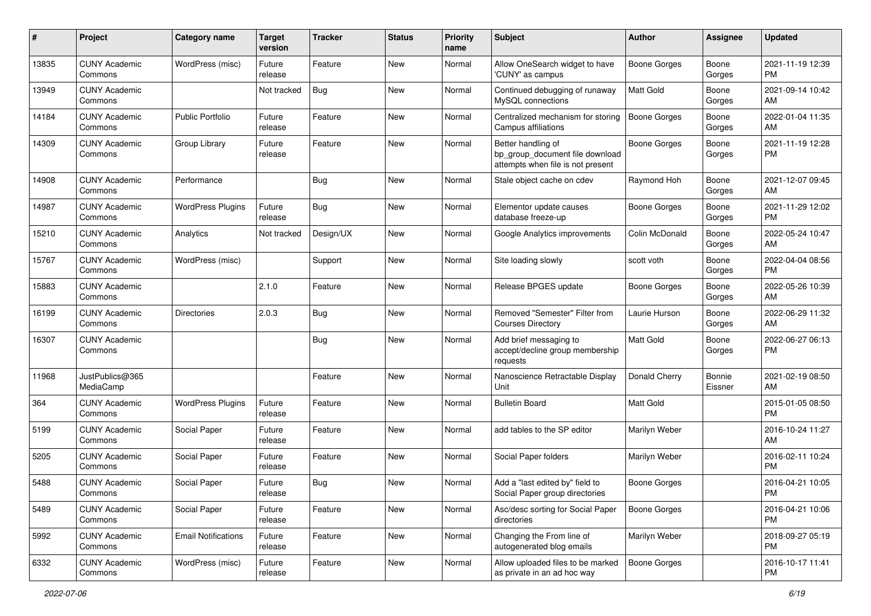| #     | Project                         | <b>Category name</b>       | <b>Target</b><br>version | <b>Tracker</b> | <b>Status</b> | <b>Priority</b><br>name | Subject                                                                                    | Author              | <b>Assignee</b>   | <b>Updated</b>                |
|-------|---------------------------------|----------------------------|--------------------------|----------------|---------------|-------------------------|--------------------------------------------------------------------------------------------|---------------------|-------------------|-------------------------------|
| 13835 | <b>CUNY Academic</b><br>Commons | WordPress (misc)           | Future<br>release        | Feature        | New           | Normal                  | Allow OneSearch widget to have<br>'CUNY' as campus                                         | Boone Gorges        | Boone<br>Gorges   | 2021-11-19 12:39<br><b>PM</b> |
| 13949 | <b>CUNY Academic</b><br>Commons |                            | Not tracked              | Bug            | New           | Normal                  | Continued debugging of runaway<br>MySQL connections                                        | <b>Matt Gold</b>    | Boone<br>Gorges   | 2021-09-14 10:42<br>AM        |
| 14184 | <b>CUNY Academic</b><br>Commons | <b>Public Portfolio</b>    | Future<br>release        | Feature        | New           | Normal                  | Centralized mechanism for storing<br>Campus affiliations                                   | Boone Gorges        | Boone<br>Gorges   | 2022-01-04 11:35<br>AM        |
| 14309 | <b>CUNY Academic</b><br>Commons | Group Library              | Future<br>release        | Feature        | New           | Normal                  | Better handling of<br>bp_group_document file download<br>attempts when file is not present | Boone Gorges        | Boone<br>Gorges   | 2021-11-19 12:28<br>PM        |
| 14908 | <b>CUNY Academic</b><br>Commons | Performance                |                          | Bug            | New           | Normal                  | Stale object cache on cdev                                                                 | Raymond Hoh         | Boone<br>Gorges   | 2021-12-07 09:45<br>AM        |
| 14987 | <b>CUNY Academic</b><br>Commons | <b>WordPress Plugins</b>   | Future<br>release        | Bug            | New           | Normal                  | Elementor update causes<br>database freeze-up                                              | Boone Gorges        | Boone<br>Gorges   | 2021-11-29 12:02<br><b>PM</b> |
| 15210 | <b>CUNY Academic</b><br>Commons | Analytics                  | Not tracked              | Design/UX      | New           | Normal                  | Google Analytics improvements                                                              | Colin McDonald      | Boone<br>Gorges   | 2022-05-24 10:47<br>AM        |
| 15767 | <b>CUNY Academic</b><br>Commons | WordPress (misc)           |                          | Support        | New           | Normal                  | Site loading slowly                                                                        | scott voth          | Boone<br>Gorges   | 2022-04-04 08:56<br><b>PM</b> |
| 15883 | <b>CUNY Academic</b><br>Commons |                            | 2.1.0                    | Feature        | New           | Normal                  | Release BPGES update                                                                       | <b>Boone Gorges</b> | Boone<br>Gorges   | 2022-05-26 10:39<br>AM        |
| 16199 | <b>CUNY Academic</b><br>Commons | Directories                | 2.0.3                    | <b>Bug</b>     | New           | Normal                  | Removed "Semester" Filter from<br><b>Courses Directory</b>                                 | Laurie Hurson       | Boone<br>Gorges   | 2022-06-29 11:32<br>AM        |
| 16307 | <b>CUNY Academic</b><br>Commons |                            |                          | <b>Bug</b>     | New           | Normal                  | Add brief messaging to<br>accept/decline group membership<br>requests                      | <b>Matt Gold</b>    | Boone<br>Gorges   | 2022-06-27 06:13<br><b>PM</b> |
| 11968 | JustPublics@365<br>MediaCamp    |                            |                          | Feature        | New           | Normal                  | Nanoscience Retractable Display<br>Unit                                                    | Donald Cherry       | Bonnie<br>Eissner | 2021-02-19 08:50<br>AM        |
| 364   | <b>CUNY Academic</b><br>Commons | <b>WordPress Plugins</b>   | Future<br>release        | Feature        | New           | Normal                  | <b>Bulletin Board</b>                                                                      | <b>Matt Gold</b>    |                   | 2015-01-05 08:50<br><b>PM</b> |
| 5199  | <b>CUNY Academic</b><br>Commons | Social Paper               | Future<br>release        | Feature        | New           | Normal                  | add tables to the SP editor                                                                | Marilyn Weber       |                   | 2016-10-24 11:27<br>AM        |
| 5205  | <b>CUNY Academic</b><br>Commons | Social Paper               | Future<br>release        | Feature        | New           | Normal                  | Social Paper folders                                                                       | Marilyn Weber       |                   | 2016-02-11 10:24<br><b>PM</b> |
| 5488  | <b>CUNY Academic</b><br>Commons | Social Paper               | Future<br>release        | Bug            | New           | Normal                  | Add a "last edited by" field to<br>Social Paper group directories                          | <b>Boone Gorges</b> |                   | 2016-04-21 10:05<br>PM        |
| 5489  | <b>CUNY Academic</b><br>Commons | Social Paper               | Future<br>release        | Feature        | New           | Normal                  | Asc/desc sorting for Social Paper<br>directories                                           | Boone Gorges        |                   | 2016-04-21 10:06<br>PM        |
| 5992  | <b>CUNY Academic</b><br>Commons | <b>Email Notifications</b> | Future<br>release        | Feature        | New           | Normal                  | Changing the From line of<br>autogenerated blog emails                                     | Marilyn Weber       |                   | 2018-09-27 05:19<br><b>PM</b> |
| 6332  | <b>CUNY Academic</b><br>Commons | WordPress (misc)           | Future<br>release        | Feature        | New           | Normal                  | Allow uploaded files to be marked<br>as private in an ad hoc way                           | Boone Gorges        |                   | 2016-10-17 11:41<br><b>PM</b> |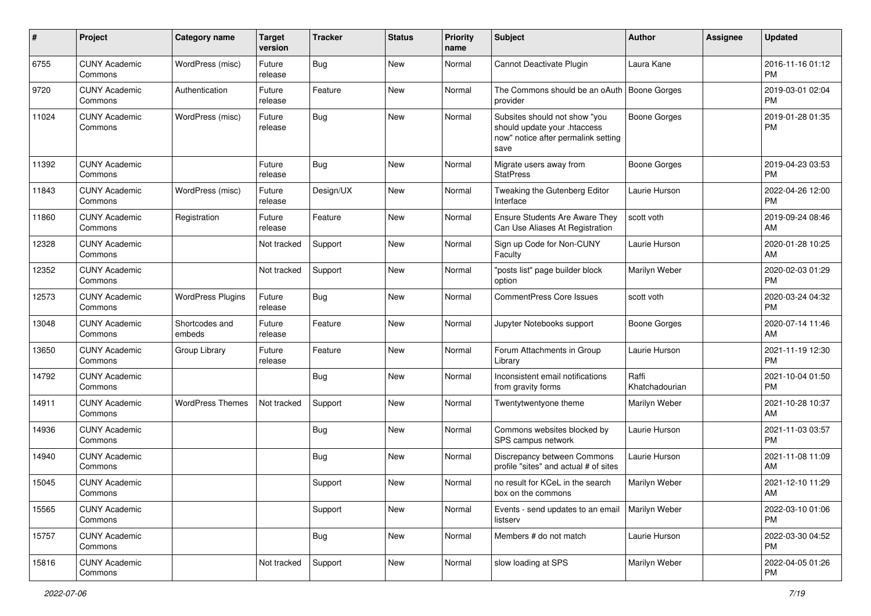| #     | Project                         | <b>Category name</b>     | <b>Target</b><br>version | <b>Tracker</b> | <b>Status</b> | <b>Priority</b><br>name | Subject                                                                                                      | Author                  | <b>Assignee</b> | <b>Updated</b>                |
|-------|---------------------------------|--------------------------|--------------------------|----------------|---------------|-------------------------|--------------------------------------------------------------------------------------------------------------|-------------------------|-----------------|-------------------------------|
| 6755  | <b>CUNY Academic</b><br>Commons | WordPress (misc)         | Future<br>release        | <b>Bug</b>     | New           | Normal                  | Cannot Deactivate Plugin                                                                                     | Laura Kane              |                 | 2016-11-16 01:12<br>PM        |
| 9720  | <b>CUNY Academic</b><br>Commons | Authentication           | Future<br>release        | Feature        | New           | Normal                  | The Commons should be an oAuth<br>provider                                                                   | Boone Gorges            |                 | 2019-03-01 02:04<br><b>PM</b> |
| 11024 | <b>CUNY Academic</b><br>Commons | WordPress (misc)         | Future<br>release        | Bug            | New           | Normal                  | Subsites should not show "you<br>should update your .htaccess<br>now" notice after permalink setting<br>save | <b>Boone Gorges</b>     |                 | 2019-01-28 01:35<br><b>PM</b> |
| 11392 | <b>CUNY Academic</b><br>Commons |                          | Future<br>release        | Bug            | New           | Normal                  | Migrate users away from<br><b>StatPress</b>                                                                  | <b>Boone Gorges</b>     |                 | 2019-04-23 03:53<br>PM        |
| 11843 | <b>CUNY Academic</b><br>Commons | WordPress (misc)         | Future<br>release        | Design/UX      | New           | Normal                  | Tweaking the Gutenberg Editor<br>Interface                                                                   | Laurie Hurson           |                 | 2022-04-26 12:00<br>PM        |
| 11860 | <b>CUNY Academic</b><br>Commons | Registration             | Future<br>release        | Feature        | New           | Normal                  | Ensure Students Are Aware They<br>Can Use Aliases At Registration                                            | scott voth              |                 | 2019-09-24 08:46<br>AM        |
| 12328 | <b>CUNY Academic</b><br>Commons |                          | Not tracked              | Support        | New           | Normal                  | Sign up Code for Non-CUNY<br>Faculty                                                                         | Laurie Hurson           |                 | 2020-01-28 10:25<br>AM        |
| 12352 | <b>CUNY Academic</b><br>Commons |                          | Not tracked              | Support        | New           | Normal                  | "posts list" page builder block<br>option                                                                    | Marilyn Weber           |                 | 2020-02-03 01:29<br><b>PM</b> |
| 12573 | <b>CUNY Academic</b><br>Commons | <b>WordPress Plugins</b> | Future<br>release        | Bug            | New           | Normal                  | <b>CommentPress Core Issues</b>                                                                              | scott voth              |                 | 2020-03-24 04:32<br>PM        |
| 13048 | <b>CUNY Academic</b><br>Commons | Shortcodes and<br>embeds | Future<br>release        | Feature        | New           | Normal                  | Jupyter Notebooks support                                                                                    | Boone Gorges            |                 | 2020-07-14 11:46<br>AM        |
| 13650 | <b>CUNY Academic</b><br>Commons | Group Library            | Future<br>release        | Feature        | New           | Normal                  | Forum Attachments in Group<br>Library                                                                        | Laurie Hurson           |                 | 2021-11-19 12:30<br>PM        |
| 14792 | <b>CUNY Academic</b><br>Commons |                          |                          | <b>Bug</b>     | New           | Normal                  | Inconsistent email notifications<br>from gravity forms                                                       | Raffi<br>Khatchadourian |                 | 2021-10-04 01:50<br>PM        |
| 14911 | <b>CUNY Academic</b><br>Commons | <b>WordPress Themes</b>  | Not tracked              | Support        | New           | Normal                  | Twentytwentyone theme                                                                                        | Marilyn Weber           |                 | 2021-10-28 10:37<br>AM        |
| 14936 | <b>CUNY Academic</b><br>Commons |                          |                          | <b>Bug</b>     | New           | Normal                  | Commons websites blocked by<br>SPS campus network                                                            | Laurie Hurson           |                 | 2021-11-03 03:57<br>PM        |
| 14940 | <b>CUNY Academic</b><br>Commons |                          |                          | <b>Bug</b>     | New           | Normal                  | Discrepancy between Commons<br>profile "sites" and actual # of sites                                         | Laurie Hurson           |                 | 2021-11-08 11:09<br>AM        |
| 15045 | <b>CUNY Academic</b><br>Commons |                          |                          | Support        | New           | Normal                  | no result for KCeL in the search<br>box on the commons                                                       | Marilyn Weber           |                 | 2021-12-10 11:29<br>AM        |
| 15565 | <b>CUNY Academic</b><br>Commons |                          |                          | Support        | New           | Normal                  | Events - send updates to an email<br>listserv                                                                | Marilyn Weber           |                 | 2022-03-10 01:06<br>PM        |
| 15757 | <b>CUNY Academic</b><br>Commons |                          |                          | <b>Bug</b>     | New           | Normal                  | Members # do not match                                                                                       | Laurie Hurson           |                 | 2022-03-30 04:52<br><b>PM</b> |
| 15816 | <b>CUNY Academic</b><br>Commons |                          | Not tracked              | Support        | New           | Normal                  | slow loading at SPS                                                                                          | Marilyn Weber           |                 | 2022-04-05 01:26<br><b>PM</b> |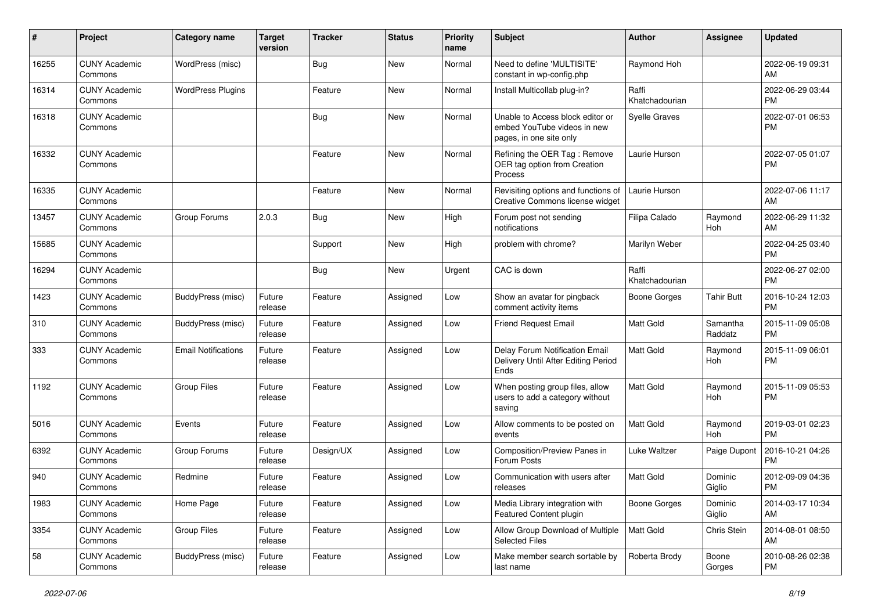| $\#$  | Project                         | <b>Category name</b>       | <b>Target</b><br>version | <b>Tracker</b> | <b>Status</b> | Priority<br>name | <b>Subject</b>                                                                             | Author                  | <b>Assignee</b>     | <b>Updated</b>                |
|-------|---------------------------------|----------------------------|--------------------------|----------------|---------------|------------------|--------------------------------------------------------------------------------------------|-------------------------|---------------------|-------------------------------|
| 16255 | <b>CUNY Academic</b><br>Commons | WordPress (misc)           |                          | <b>Bug</b>     | <b>New</b>    | Normal           | Need to define 'MULTISITE'<br>constant in wp-config.php                                    | Raymond Hoh             |                     | 2022-06-19 09:31<br>AM        |
| 16314 | <b>CUNY Academic</b><br>Commons | <b>WordPress Plugins</b>   |                          | Feature        | New           | Normal           | Install Multicollab plug-in?                                                               | Raffi<br>Khatchadourian |                     | 2022-06-29 03:44<br><b>PM</b> |
| 16318 | <b>CUNY Academic</b><br>Commons |                            |                          | <b>Bug</b>     | <b>New</b>    | Normal           | Unable to Access block editor or<br>embed YouTube videos in new<br>pages, in one site only | <b>Syelle Graves</b>    |                     | 2022-07-01 06:53<br><b>PM</b> |
| 16332 | <b>CUNY Academic</b><br>Commons |                            |                          | Feature        | <b>New</b>    | Normal           | Refining the OER Tag: Remove<br>OER tag option from Creation<br>Process                    | Laurie Hurson           |                     | 2022-07-05 01:07<br><b>PM</b> |
| 16335 | <b>CUNY Academic</b><br>Commons |                            |                          | Feature        | New           | Normal           | Revisiting options and functions of<br>Creative Commons license widget                     | Laurie Hurson           |                     | 2022-07-06 11:17<br>AM        |
| 13457 | <b>CUNY Academic</b><br>Commons | Group Forums               | 2.0.3                    | Bug            | <b>New</b>    | High             | Forum post not sending<br>notifications                                                    | Filipa Calado           | Raymond<br>Hoh      | 2022-06-29 11:32<br>AM        |
| 15685 | <b>CUNY Academic</b><br>Commons |                            |                          | Support        | <b>New</b>    | High             | problem with chrome?                                                                       | Marilyn Weber           |                     | 2022-04-25 03:40<br><b>PM</b> |
| 16294 | <b>CUNY Academic</b><br>Commons |                            |                          | Bug            | <b>New</b>    | Urgent           | CAC is down                                                                                | Raffi<br>Khatchadourian |                     | 2022-06-27 02:00<br><b>PM</b> |
| 1423  | <b>CUNY Academic</b><br>Commons | <b>BuddyPress</b> (misc)   | Future<br>release        | Feature        | Assigned      | Low              | Show an avatar for pingback<br>comment activity items                                      | Boone Gorges            | <b>Tahir Butt</b>   | 2016-10-24 12:03<br><b>PM</b> |
| 310   | <b>CUNY Academic</b><br>Commons | BuddyPress (misc)          | Future<br>release        | Feature        | Assigned      | Low              | Friend Request Email                                                                       | <b>Matt Gold</b>        | Samantha<br>Raddatz | 2015-11-09 05:08<br><b>PM</b> |
| 333   | <b>CUNY Academic</b><br>Commons | <b>Email Notifications</b> | Future<br>release        | Feature        | Assigned      | Low              | Delay Forum Notification Email<br>Delivery Until After Editing Period<br>Ends              | <b>Matt Gold</b>        | Raymond<br>Hoh      | 2015-11-09 06:01<br><b>PM</b> |
| 1192  | <b>CUNY Academic</b><br>Commons | <b>Group Files</b>         | Future<br>release        | Feature        | Assigned      | Low              | When posting group files, allow<br>users to add a category without<br>saving               | <b>Matt Gold</b>        | Raymond<br>Hoh      | 2015-11-09 05:53<br><b>PM</b> |
| 5016  | <b>CUNY Academic</b><br>Commons | Events                     | Future<br>release        | Feature        | Assigned      | Low              | Allow comments to be posted on<br>events                                                   | Matt Gold               | Raymond<br>Hoh      | 2019-03-01 02:23<br><b>PM</b> |
| 6392  | <b>CUNY Academic</b><br>Commons | Group Forums               | Future<br>release        | Design/UX      | Assigned      | Low              | Composition/Preview Panes in<br>Forum Posts                                                | Luke Waltzer            | Paige Dupont        | 2016-10-21 04:26<br><b>PM</b> |
| 940   | <b>CUNY Academic</b><br>Commons | Redmine                    | Future<br>release        | Feature        | Assigned      | Low              | Communication with users after<br>releases                                                 | <b>Matt Gold</b>        | Dominic<br>Giglio   | 2012-09-09 04:36<br><b>PM</b> |
| 1983  | <b>CUNY Academic</b><br>Commons | Home Page                  | Future<br>release        | Feature        | Assigned      | Low              | Media Library integration with<br>Featured Content plugin                                  | <b>Boone Gorges</b>     | Dominic<br>Giglio   | 2014-03-17 10:34<br>AM        |
| 3354  | <b>CUNY Academic</b><br>Commons | Group Files                | Future<br>release        | Feature        | Assigned      | Low              | Allow Group Download of Multiple<br><b>Selected Files</b>                                  | Matt Gold               | Chris Stein         | 2014-08-01 08:50<br>AM        |
| 58    | <b>CUNY Academic</b><br>Commons | BuddyPress (misc)          | Future<br>release        | Feature        | Assigned      | Low              | Make member search sortable by<br>last name                                                | Roberta Brody           | Boone<br>Gorges     | 2010-08-26 02:38<br><b>PM</b> |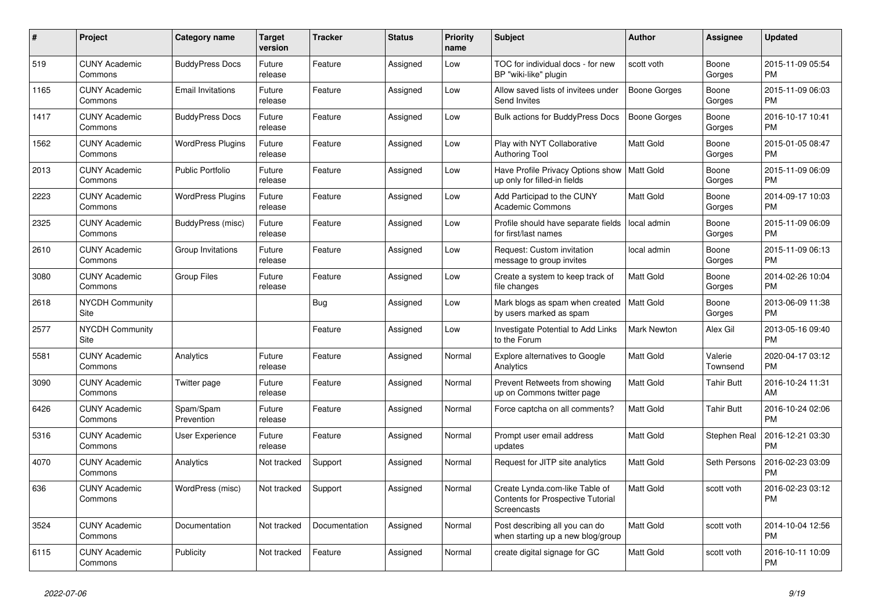| #    | <b>Project</b>                  | Category name            | <b>Target</b><br>version | <b>Tracker</b> | <b>Status</b> | <b>Priority</b><br>name | <b>Subject</b>                                                                     | <b>Author</b>       | Assignee            | <b>Updated</b>                |
|------|---------------------------------|--------------------------|--------------------------|----------------|---------------|-------------------------|------------------------------------------------------------------------------------|---------------------|---------------------|-------------------------------|
| 519  | <b>CUNY Academic</b><br>Commons | <b>BuddyPress Docs</b>   | Future<br>release        | Feature        | Assigned      | Low                     | TOC for individual docs - for new<br>BP "wiki-like" plugin                         | scott voth          | Boone<br>Gorges     | 2015-11-09 05:54<br><b>PM</b> |
| 1165 | <b>CUNY Academic</b><br>Commons | <b>Email Invitations</b> | Future<br>release        | Feature        | Assigned      | Low                     | Allow saved lists of invitees under<br>Send Invites                                | <b>Boone Gorges</b> | Boone<br>Gorges     | 2015-11-09 06:03<br><b>PM</b> |
| 1417 | <b>CUNY Academic</b><br>Commons | <b>BuddyPress Docs</b>   | Future<br>release        | Feature        | Assigned      | Low                     | Bulk actions for BuddyPress Docs                                                   | <b>Boone Gorges</b> | Boone<br>Gorges     | 2016-10-17 10:41<br><b>PM</b> |
| 1562 | <b>CUNY Academic</b><br>Commons | <b>WordPress Plugins</b> | Future<br>release        | Feature        | Assigned      | Low                     | Play with NYT Collaborative<br><b>Authoring Tool</b>                               | Matt Gold           | Boone<br>Gorges     | 2015-01-05 08:47<br><b>PM</b> |
| 2013 | <b>CUNY Academic</b><br>Commons | <b>Public Portfolio</b>  | Future<br>release        | Feature        | Assigned      | Low                     | Have Profile Privacy Options show<br>up only for filled-in fields                  | Matt Gold           | Boone<br>Gorges     | 2015-11-09 06:09<br><b>PM</b> |
| 2223 | <b>CUNY Academic</b><br>Commons | <b>WordPress Plugins</b> | Future<br>release        | Feature        | Assigned      | Low                     | Add Participad to the CUNY<br><b>Academic Commons</b>                              | Matt Gold           | Boone<br>Gorges     | 2014-09-17 10:03<br><b>PM</b> |
| 2325 | <b>CUNY Academic</b><br>Commons | BuddyPress (misc)        | Future<br>release        | Feature        | Assigned      | Low                     | Profile should have separate fields<br>for first/last names                        | local admin         | Boone<br>Gorges     | 2015-11-09 06:09<br><b>PM</b> |
| 2610 | <b>CUNY Academic</b><br>Commons | Group Invitations        | Future<br>release        | Feature        | Assigned      | Low                     | Request: Custom invitation<br>message to group invites                             | local admin         | Boone<br>Gorges     | 2015-11-09 06:13<br><b>PM</b> |
| 3080 | <b>CUNY Academic</b><br>Commons | <b>Group Files</b>       | Future<br>release        | Feature        | Assigned      | Low                     | Create a system to keep track of<br>file changes                                   | <b>Matt Gold</b>    | Boone<br>Gorges     | 2014-02-26 10:04<br><b>PM</b> |
| 2618 | <b>NYCDH Community</b><br>Site  |                          |                          | <b>Bug</b>     | Assigned      | Low                     | Mark blogs as spam when created   Matt Gold<br>by users marked as spam             |                     | Boone<br>Gorges     | 2013-06-09 11:38<br><b>PM</b> |
| 2577 | <b>NYCDH Community</b><br>Site  |                          |                          | Feature        | Assigned      | Low                     | Investigate Potential to Add Links<br>to the Forum                                 | <b>Mark Newton</b>  | Alex Gil            | 2013-05-16 09:40<br><b>PM</b> |
| 5581 | <b>CUNY Academic</b><br>Commons | Analytics                | Future<br>release        | Feature        | Assigned      | Normal                  | Explore alternatives to Google<br>Analytics                                        | <b>Matt Gold</b>    | Valerie<br>Townsend | 2020-04-17 03:12<br><b>PM</b> |
| 3090 | <b>CUNY Academic</b><br>Commons | Twitter page             | Future<br>release        | Feature        | Assigned      | Normal                  | Prevent Retweets from showing<br>up on Commons twitter page                        | Matt Gold           | Tahir Butt          | 2016-10-24 11:31<br>AM        |
| 6426 | <b>CUNY Academic</b><br>Commons | Spam/Spam<br>Prevention  | Future<br>release        | Feature        | Assigned      | Normal                  | Force captcha on all comments?                                                     | <b>Matt Gold</b>    | <b>Tahir Butt</b>   | 2016-10-24 02:06<br><b>PM</b> |
| 5316 | <b>CUNY Academic</b><br>Commons | <b>User Experience</b>   | Future<br>release        | Feature        | Assigned      | Normal                  | Prompt user email address<br>updates                                               | Matt Gold           | Stephen Real        | 2016-12-21 03:30<br><b>PM</b> |
| 4070 | <b>CUNY Academic</b><br>Commons | Analytics                | Not tracked              | Support        | Assigned      | Normal                  | Request for JITP site analytics                                                    | <b>Matt Gold</b>    | Seth Persons        | 2016-02-23 03:09<br><b>PM</b> |
| 636  | <b>CUNY Academic</b><br>Commons | WordPress (misc)         | Not tracked              | Support        | Assigned      | Normal                  | Create Lynda.com-like Table of<br>Contents for Prospective Tutorial<br>Screencasts | <b>Matt Gold</b>    | scott voth          | 2016-02-23 03:12<br><b>PM</b> |
| 3524 | <b>CUNY Academic</b><br>Commons | Documentation            | Not tracked              | Documentation  | Assigned      | Normal                  | Post describing all you can do<br>when starting up a new blog/group                | <b>Matt Gold</b>    | scott voth          | 2014-10-04 12:56<br><b>PM</b> |
| 6115 | <b>CUNY Academic</b><br>Commons | Publicity                | Not tracked              | Feature        | Assigned      | Normal                  | create digital signage for GC                                                      | <b>Matt Gold</b>    | scott voth          | 2016-10-11 10:09<br><b>PM</b> |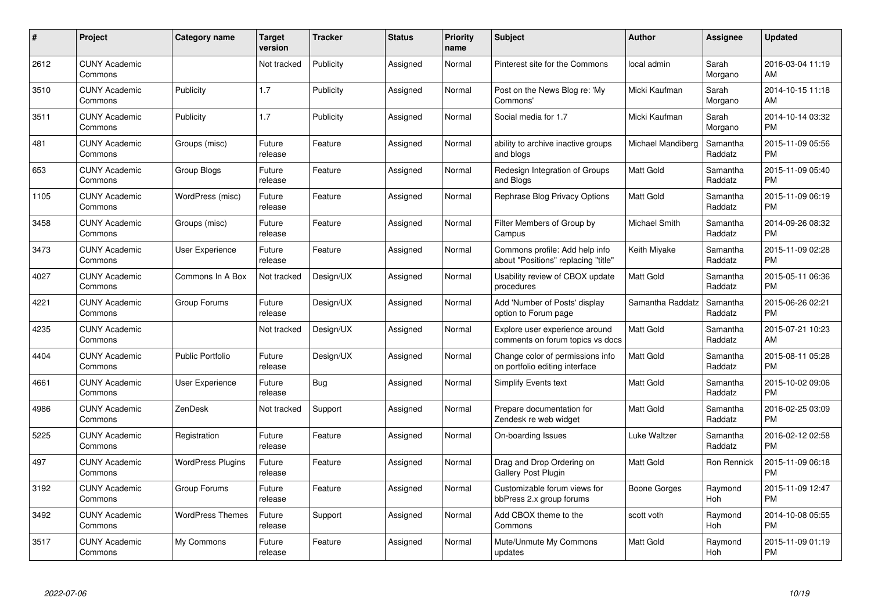| $\#$ | Project                         | <b>Category name</b>     | <b>Target</b><br>version | <b>Tracker</b> | <b>Status</b> | <b>Priority</b><br>name | <b>Subject</b>                                                        | <b>Author</b>        | <b>Assignee</b>     | <b>Updated</b>                |
|------|---------------------------------|--------------------------|--------------------------|----------------|---------------|-------------------------|-----------------------------------------------------------------------|----------------------|---------------------|-------------------------------|
| 2612 | <b>CUNY Academic</b><br>Commons |                          | Not tracked              | Publicity      | Assigned      | Normal                  | Pinterest site for the Commons                                        | local admin          | Sarah<br>Morgano    | 2016-03-04 11:19<br>AM        |
| 3510 | <b>CUNY Academic</b><br>Commons | Publicity                | 1.7                      | Publicity      | Assigned      | Normal                  | Post on the News Blog re: 'My<br>Commons'                             | Micki Kaufman        | Sarah<br>Morgano    | 2014-10-15 11:18<br>AM        |
| 3511 | <b>CUNY Academic</b><br>Commons | Publicity                | 1.7                      | Publicity      | Assigned      | Normal                  | Social media for 1.7                                                  | Micki Kaufman        | Sarah<br>Morgano    | 2014-10-14 03:32<br><b>PM</b> |
| 481  | <b>CUNY Academic</b><br>Commons | Groups (misc)            | Future<br>release        | Feature        | Assigned      | Normal                  | ability to archive inactive groups<br>and blogs                       | Michael Mandiberg    | Samantha<br>Raddatz | 2015-11-09 05:56<br><b>PM</b> |
| 653  | <b>CUNY Academic</b><br>Commons | Group Blogs              | Future<br>release        | Feature        | Assigned      | Normal                  | Redesign Integration of Groups<br>and Blogs                           | <b>Matt Gold</b>     | Samantha<br>Raddatz | 2015-11-09 05:40<br><b>PM</b> |
| 1105 | <b>CUNY Academic</b><br>Commons | WordPress (misc)         | Future<br>release        | Feature        | Assigned      | Normal                  | Rephrase Blog Privacy Options                                         | <b>Matt Gold</b>     | Samantha<br>Raddatz | 2015-11-09 06:19<br><b>PM</b> |
| 3458 | <b>CUNY Academic</b><br>Commons | Groups (misc)            | Future<br>release        | Feature        | Assigned      | Normal                  | Filter Members of Group by<br>Campus                                  | <b>Michael Smith</b> | Samantha<br>Raddatz | 2014-09-26 08:32<br><b>PM</b> |
| 3473 | <b>CUNY Academic</b><br>Commons | <b>User Experience</b>   | Future<br>release        | Feature        | Assigned      | Normal                  | Commons profile: Add help info<br>about "Positions" replacing "title" | Keith Miyake         | Samantha<br>Raddatz | 2015-11-09 02:28<br><b>PM</b> |
| 4027 | <b>CUNY Academic</b><br>Commons | Commons In A Box         | Not tracked              | Design/UX      | Assigned      | Normal                  | Usability review of CBOX update<br>procedures                         | <b>Matt Gold</b>     | Samantha<br>Raddatz | 2015-05-11 06:36<br><b>PM</b> |
| 4221 | <b>CUNY Academic</b><br>Commons | Group Forums             | Future<br>release        | Design/UX      | Assigned      | Normal                  | Add 'Number of Posts' display<br>option to Forum page                 | Samantha Raddatz     | Samantha<br>Raddatz | 2015-06-26 02:21<br>PM        |
| 4235 | <b>CUNY Academic</b><br>Commons |                          | Not tracked              | Design/UX      | Assigned      | Normal                  | Explore user experience around<br>comments on forum topics vs docs    | <b>Matt Gold</b>     | Samantha<br>Raddatz | 2015-07-21 10:23<br>AM        |
| 4404 | <b>CUNY Academic</b><br>Commons | <b>Public Portfolio</b>  | Future<br>release        | Design/UX      | Assigned      | Normal                  | Change color of permissions info<br>on portfolio editing interface    | Matt Gold            | Samantha<br>Raddatz | 2015-08-11 05:28<br><b>PM</b> |
| 4661 | <b>CUNY Academic</b><br>Commons | User Experience          | Future<br>release        | <b>Bug</b>     | Assigned      | Normal                  | <b>Simplify Events text</b>                                           | <b>Matt Gold</b>     | Samantha<br>Raddatz | 2015-10-02 09:06<br><b>PM</b> |
| 4986 | <b>CUNY Academic</b><br>Commons | ZenDesk                  | Not tracked              | Support        | Assigned      | Normal                  | Prepare documentation for<br>Zendesk re web widget                    | <b>Matt Gold</b>     | Samantha<br>Raddatz | 2016-02-25 03:09<br><b>PM</b> |
| 5225 | <b>CUNY Academic</b><br>Commons | Registration             | Future<br>release        | Feature        | Assigned      | Normal                  | On-boarding Issues                                                    | Luke Waltzer         | Samantha<br>Raddatz | 2016-02-12 02:58<br><b>PM</b> |
| 497  | <b>CUNY Academic</b><br>Commons | <b>WordPress Plugins</b> | Future<br>release        | Feature        | Assigned      | Normal                  | Drag and Drop Ordering on<br>Gallery Post Plugin                      | <b>Matt Gold</b>     | Ron Rennick         | 2015-11-09 06:18<br><b>PM</b> |
| 3192 | <b>CUNY Academic</b><br>Commons | Group Forums             | Future<br>release        | Feature        | Assigned      | Normal                  | Customizable forum views for<br>bbPress 2.x group forums              | Boone Gorges         | Raymond<br>Hoh      | 2015-11-09 12:47<br><b>PM</b> |
| 3492 | <b>CUNY Academic</b><br>Commons | <b>WordPress Themes</b>  | Future<br>release        | Support        | Assigned      | Normal                  | Add CBOX theme to the<br>Commons                                      | scott voth           | Raymond<br>Hoh      | 2014-10-08 05:55<br><b>PM</b> |
| 3517 | <b>CUNY Academic</b><br>Commons | My Commons               | Future<br>release        | Feature        | Assigned      | Normal                  | Mute/Unmute My Commons<br>updates                                     | <b>Matt Gold</b>     | Raymond<br>Hoh      | 2015-11-09 01:19<br><b>PM</b> |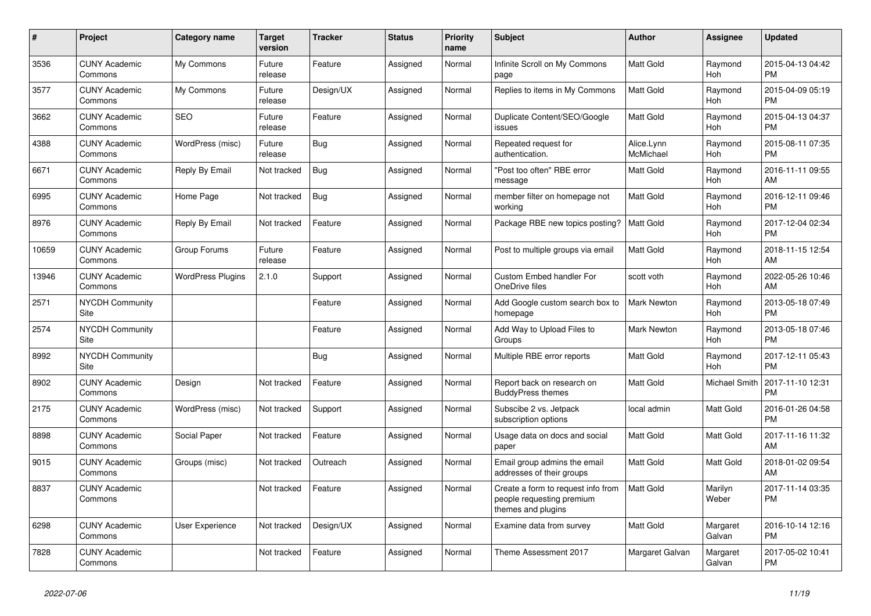| #     | <b>Project</b>                  | <b>Category name</b>     | <b>Target</b><br>version | <b>Tracker</b> | <b>Status</b> | <b>Priority</b><br>name | <b>Subject</b>                                                                        | Author                  | Assignee           | <b>Updated</b>                |
|-------|---------------------------------|--------------------------|--------------------------|----------------|---------------|-------------------------|---------------------------------------------------------------------------------------|-------------------------|--------------------|-------------------------------|
| 3536  | <b>CUNY Academic</b><br>Commons | My Commons               | Future<br>release        | Feature        | Assigned      | Normal                  | Infinite Scroll on My Commons<br>page                                                 | Matt Gold               | Raymond<br>Hoh     | 2015-04-13 04:42<br><b>PM</b> |
| 3577  | <b>CUNY Academic</b><br>Commons | My Commons               | Future<br>release        | Design/UX      | Assigned      | Normal                  | Replies to items in My Commons                                                        | <b>Matt Gold</b>        | Raymond<br>Hoh     | 2015-04-09 05:19<br><b>PM</b> |
| 3662  | <b>CUNY Academic</b><br>Commons | <b>SEO</b>               | Future<br>release        | Feature        | Assigned      | Normal                  | Duplicate Content/SEO/Google<br>issues                                                | <b>Matt Gold</b>        | Raymond<br>Hoh     | 2015-04-13 04:37<br><b>PM</b> |
| 4388  | <b>CUNY Academic</b><br>Commons | WordPress (misc)         | Future<br>release        | Bug            | Assigned      | Normal                  | Repeated request for<br>authentication.                                               | Alice.Lynn<br>McMichael | Raymond<br>Hoh     | 2015-08-11 07:35<br><b>PM</b> |
| 6671  | <b>CUNY Academic</b><br>Commons | Reply By Email           | Not tracked              | <b>Bug</b>     | Assigned      | Normal                  | "Post too often" RBE error<br>message                                                 | <b>Matt Gold</b>        | Raymond<br>Hoh     | 2016-11-11 09:55<br>AM        |
| 6995  | <b>CUNY Academic</b><br>Commons | Home Page                | Not tracked              | <b>Bug</b>     | Assigned      | Normal                  | member filter on homepage not<br>working                                              | <b>Matt Gold</b>        | Raymond<br>Hoh     | 2016-12-11 09:46<br><b>PM</b> |
| 8976  | <b>CUNY Academic</b><br>Commons | Reply By Email           | Not tracked              | Feature        | Assigned      | Normal                  | Package RBE new topics posting?                                                       | Matt Gold               | Raymond<br>Hoh     | 2017-12-04 02:34<br><b>PM</b> |
| 10659 | <b>CUNY Academic</b><br>Commons | Group Forums             | Future<br>release        | Feature        | Assigned      | Normal                  | Post to multiple groups via email                                                     | <b>Matt Gold</b>        | Raymond<br>Hoh     | 2018-11-15 12:54<br>AM        |
| 13946 | <b>CUNY Academic</b><br>Commons | <b>WordPress Plugins</b> | 2.1.0                    | Support        | Assigned      | Normal                  | Custom Embed handler For<br>OneDrive files                                            | scott voth              | Raymond<br>Hoh     | 2022-05-26 10:46<br>AM        |
| 2571  | <b>NYCDH Community</b><br>Site  |                          |                          | Feature        | Assigned      | Normal                  | Add Google custom search box to<br>homepage                                           | <b>Mark Newton</b>      | Raymond<br>Hoh     | 2013-05-18 07:49<br><b>PM</b> |
| 2574  | <b>NYCDH Community</b><br>Site  |                          |                          | Feature        | Assigned      | Normal                  | Add Way to Upload Files to<br>Groups                                                  | <b>Mark Newton</b>      | Raymond<br>Hoh     | 2013-05-18 07:46<br><b>PM</b> |
| 8992  | <b>NYCDH Community</b><br>Site  |                          |                          | Bug            | Assigned      | Normal                  | Multiple RBE error reports                                                            | <b>Matt Gold</b>        | Raymond<br>Hoh     | 2017-12-11 05:43<br><b>PM</b> |
| 8902  | <b>CUNY Academic</b><br>Commons | Design                   | Not tracked              | Feature        | Assigned      | Normal                  | Report back on research on<br><b>BuddyPress themes</b>                                | <b>Matt Gold</b>        | Michael Smith      | 2017-11-10 12:31<br><b>PM</b> |
| 2175  | <b>CUNY Academic</b><br>Commons | WordPress (misc)         | Not tracked              | Support        | Assigned      | Normal                  | Subscibe 2 vs. Jetpack<br>subscription options                                        | local admin             | Matt Gold          | 2016-01-26 04:58<br><b>PM</b> |
| 8898  | <b>CUNY Academic</b><br>Commons | Social Paper             | Not tracked              | Feature        | Assigned      | Normal                  | Usage data on docs and social<br>paper                                                | <b>Matt Gold</b>        | Matt Gold          | 2017-11-16 11:32<br>AM        |
| 9015  | <b>CUNY Academic</b><br>Commons | Groups (misc)            | Not tracked              | Outreach       | Assigned      | Normal                  | Email group admins the email<br>addresses of their groups                             | <b>Matt Gold</b>        | Matt Gold          | 2018-01-02 09:54<br>AM        |
| 8837  | <b>CUNY Academic</b><br>Commons |                          | Not tracked              | Feature        | Assigned      | Normal                  | Create a form to request info from<br>people requesting premium<br>themes and plugins | Matt Gold               | Marilyn<br>Weber   | 2017-11-14 03:35<br><b>PM</b> |
| 6298  | <b>CUNY Academic</b><br>Commons | User Experience          | Not tracked              | Design/UX      | Assigned      | Normal                  | Examine data from survey                                                              | <b>Matt Gold</b>        | Margaret<br>Galvan | 2016-10-14 12:16<br><b>PM</b> |
| 7828  | <b>CUNY Academic</b><br>Commons |                          | Not tracked              | Feature        | Assigned      | Normal                  | Theme Assessment 2017                                                                 | Margaret Galvan         | Margaret<br>Galvan | 2017-05-02 10:41<br><b>PM</b> |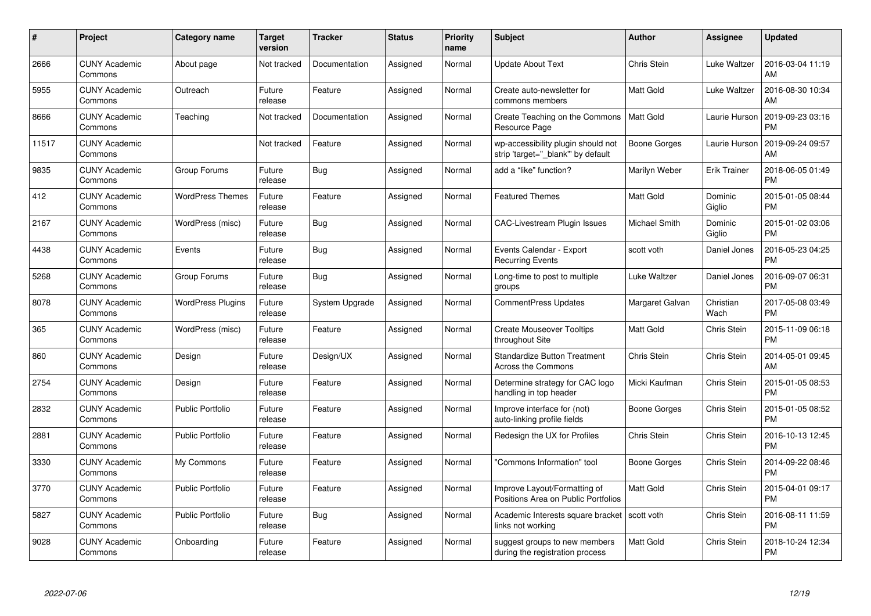| $\#$  | Project                         | <b>Category name</b>     | <b>Target</b><br>version | <b>Tracker</b> | <b>Status</b> | <b>Priority</b><br>name | <b>Subject</b>                                                          | <b>Author</b>        | <b>Assignee</b>     | <b>Updated</b>                |
|-------|---------------------------------|--------------------------|--------------------------|----------------|---------------|-------------------------|-------------------------------------------------------------------------|----------------------|---------------------|-------------------------------|
| 2666  | <b>CUNY Academic</b><br>Commons | About page               | Not tracked              | Documentation  | Assigned      | Normal                  | <b>Update About Text</b>                                                | Chris Stein          | Luke Waltzer        | 2016-03-04 11:19<br>AM        |
| 5955  | <b>CUNY Academic</b><br>Commons | Outreach                 | Future<br>release        | Feature        | Assigned      | Normal                  | Create auto-newsletter for<br>commons members                           | <b>Matt Gold</b>     | Luke Waltzer        | 2016-08-30 10:34<br>AM        |
| 8666  | <b>CUNY Academic</b><br>Commons | Teaching                 | Not tracked              | Documentation  | Assigned      | Normal                  | Create Teaching on the Commons<br>Resource Page                         | <b>Matt Gold</b>     | Laurie Hurson       | 2019-09-23 03:16<br><b>PM</b> |
| 11517 | <b>CUNY Academic</b><br>Commons |                          | Not tracked              | Feature        | Assigned      | Normal                  | wp-accessibility plugin should not<br>strip 'target=" blank" by default | Boone Gorges         | Laurie Hurson       | 2019-09-24 09:57<br>AM        |
| 9835  | <b>CUNY Academic</b><br>Commons | Group Forums             | Future<br>release        | Bug            | Assigned      | Normal                  | add a "like" function?                                                  | Marilyn Weber        | <b>Erik Trainer</b> | 2018-06-05 01:49<br><b>PM</b> |
| 412   | <b>CUNY Academic</b><br>Commons | <b>WordPress Themes</b>  | Future<br>release        | Feature        | Assigned      | Normal                  | <b>Featured Themes</b>                                                  | <b>Matt Gold</b>     | Dominic<br>Giglio   | 2015-01-05 08:44<br><b>PM</b> |
| 2167  | <b>CUNY Academic</b><br>Commons | WordPress (misc)         | Future<br>release        | Bug            | Assigned      | Normal                  | <b>CAC-Livestream Plugin Issues</b>                                     | <b>Michael Smith</b> | Dominic<br>Giglio   | 2015-01-02 03:06<br><b>PM</b> |
| 4438  | <b>CUNY Academic</b><br>Commons | Events                   | Future<br>release        | Bug            | Assigned      | Normal                  | Events Calendar - Export<br><b>Recurring Events</b>                     | scott voth           | Daniel Jones        | 2016-05-23 04:25<br><b>PM</b> |
| 5268  | <b>CUNY Academic</b><br>Commons | Group Forums             | Future<br>release        | <b>Bug</b>     | Assigned      | Normal                  | Long-time to post to multiple<br>groups                                 | Luke Waltzer         | Daniel Jones        | 2016-09-07 06:31<br><b>PM</b> |
| 8078  | <b>CUNY Academic</b><br>Commons | <b>WordPress Plugins</b> | Future<br>release        | System Upgrade | Assigned      | Normal                  | <b>CommentPress Updates</b>                                             | Margaret Galvan      | Christian<br>Wach   | 2017-05-08 03:49<br>PM        |
| 365   | <b>CUNY Academic</b><br>Commons | WordPress (misc)         | Future<br>release        | Feature        | Assigned      | Normal                  | <b>Create Mouseover Tooltips</b><br>throughout Site                     | Matt Gold            | Chris Stein         | 2015-11-09 06:18<br><b>PM</b> |
| 860   | <b>CUNY Academic</b><br>Commons | Design                   | Future<br>release        | Design/UX      | Assigned      | Normal                  | Standardize Button Treatment<br>Across the Commons                      | Chris Stein          | Chris Stein         | 2014-05-01 09:45<br>AM        |
| 2754  | <b>CUNY Academic</b><br>Commons | Design                   | Future<br>release        | Feature        | Assigned      | Normal                  | Determine strategy for CAC logo<br>handling in top header               | Micki Kaufman        | Chris Stein         | 2015-01-05 08:53<br><b>PM</b> |
| 2832  | <b>CUNY Academic</b><br>Commons | <b>Public Portfolio</b>  | Future<br>release        | Feature        | Assigned      | Normal                  | Improve interface for (not)<br>auto-linking profile fields              | Boone Gorges         | Chris Stein         | 2015-01-05 08:52<br><b>PM</b> |
| 2881  | <b>CUNY Academic</b><br>Commons | <b>Public Portfolio</b>  | Future<br>release        | Feature        | Assigned      | Normal                  | Redesign the UX for Profiles                                            | Chris Stein          | Chris Stein         | 2016-10-13 12:45<br><b>PM</b> |
| 3330  | <b>CUNY Academic</b><br>Commons | My Commons               | Future<br>release        | Feature        | Assigned      | Normal                  | "Commons Information" tool                                              | <b>Boone Gorges</b>  | Chris Stein         | 2014-09-22 08:46<br><b>PM</b> |
| 3770  | <b>CUNY Academic</b><br>Commons | <b>Public Portfolio</b>  | Future<br>release        | Feature        | Assigned      | Normal                  | Improve Layout/Formatting of<br>Positions Area on Public Portfolios     | <b>Matt Gold</b>     | Chris Stein         | 2015-04-01 09:17<br><b>PM</b> |
| 5827  | <b>CUNY Academic</b><br>Commons | Public Portfolio         | Future<br>release        | Bug            | Assigned      | Normal                  | Academic Interests square bracket<br>links not working                  | scott voth           | Chris Stein         | 2016-08-11 11:59<br><b>PM</b> |
| 9028  | <b>CUNY Academic</b><br>Commons | Onboarding               | Future<br>release        | Feature        | Assigned      | Normal                  | suggest groups to new members<br>during the registration process        | <b>Matt Gold</b>     | Chris Stein         | 2018-10-24 12:34<br><b>PM</b> |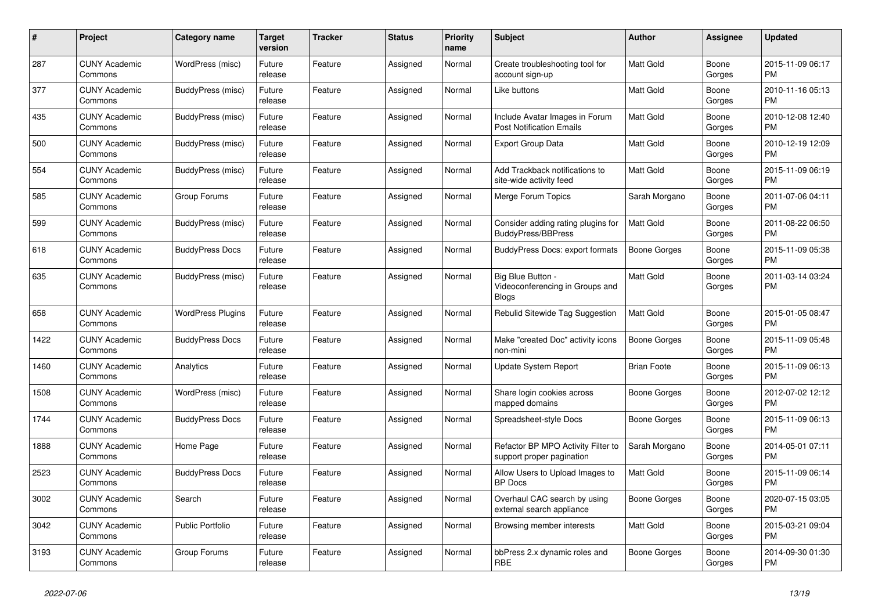| $\pmb{\#}$ | Project                         | <b>Category name</b>     | <b>Target</b><br>version | Tracker | <b>Status</b> | <b>Priority</b><br>name | <b>Subject</b>                                                       | <b>Author</b>       | Assignee        | <b>Updated</b>                |
|------------|---------------------------------|--------------------------|--------------------------|---------|---------------|-------------------------|----------------------------------------------------------------------|---------------------|-----------------|-------------------------------|
| 287        | <b>CUNY Academic</b><br>Commons | WordPress (misc)         | Future<br>release        | Feature | Assigned      | Normal                  | Create troubleshooting tool for<br>account sign-up                   | <b>Matt Gold</b>    | Boone<br>Gorges | 2015-11-09 06:17<br>PM        |
| 377        | <b>CUNY Academic</b><br>Commons | BuddyPress (misc)        | Future<br>release        | Feature | Assigned      | Normal                  | Like buttons                                                         | <b>Matt Gold</b>    | Boone<br>Gorges | 2010-11-16 05:13<br><b>PM</b> |
| 435        | <b>CUNY Academic</b><br>Commons | BuddyPress (misc)        | Future<br>release        | Feature | Assigned      | Normal                  | Include Avatar Images in Forum<br><b>Post Notification Emails</b>    | <b>Matt Gold</b>    | Boone<br>Gorges | 2010-12-08 12:40<br><b>PM</b> |
| 500        | <b>CUNY Academic</b><br>Commons | BuddyPress (misc)        | Future<br>release        | Feature | Assigned      | Normal                  | <b>Export Group Data</b>                                             | <b>Matt Gold</b>    | Boone<br>Gorges | 2010-12-19 12:09<br>PM        |
| 554        | <b>CUNY Academic</b><br>Commons | BuddyPress (misc)        | Future<br>release        | Feature | Assigned      | Normal                  | Add Trackback notifications to<br>site-wide activity feed            | Matt Gold           | Boone<br>Gorges | 2015-11-09 06:19<br>PM        |
| 585        | <b>CUNY Academic</b><br>Commons | Group Forums             | Future<br>release        | Feature | Assigned      | Normal                  | Merge Forum Topics                                                   | Sarah Morgano       | Boone<br>Gorges | 2011-07-06 04:11<br><b>PM</b> |
| 599        | <b>CUNY Academic</b><br>Commons | BuddyPress (misc)        | Future<br>release        | Feature | Assigned      | Normal                  | Consider adding rating plugins for<br>BuddyPress/BBPress             | <b>Matt Gold</b>    | Boone<br>Gorges | 2011-08-22 06:50<br><b>PM</b> |
| 618        | <b>CUNY Academic</b><br>Commons | <b>BuddyPress Docs</b>   | Future<br>release        | Feature | Assigned      | Normal                  | <b>BuddyPress Docs: export formats</b>                               | <b>Boone Gorges</b> | Boone<br>Gorges | 2015-11-09 05:38<br>PM        |
| 635        | <b>CUNY Academic</b><br>Commons | BuddyPress (misc)        | Future<br>release        | Feature | Assigned      | Normal                  | Big Blue Button -<br>Videoconferencing in Groups and<br><b>Blogs</b> | <b>Matt Gold</b>    | Boone<br>Gorges | 2011-03-14 03:24<br><b>PM</b> |
| 658        | <b>CUNY Academic</b><br>Commons | <b>WordPress Plugins</b> | Future<br>release        | Feature | Assigned      | Normal                  | Rebulid Sitewide Tag Suggestion                                      | <b>Matt Gold</b>    | Boone<br>Gorges | 2015-01-05 08:47<br><b>PM</b> |
| 1422       | <b>CUNY Academic</b><br>Commons | <b>BuddyPress Docs</b>   | Future<br>release        | Feature | Assigned      | Normal                  | Make "created Doc" activity icons<br>non-mini                        | Boone Gorges        | Boone<br>Gorges | 2015-11-09 05:48<br><b>PM</b> |
| 1460       | <b>CUNY Academic</b><br>Commons | Analytics                | Future<br>release        | Feature | Assigned      | Normal                  | Update System Report                                                 | <b>Brian Foote</b>  | Boone<br>Gorges | 2015-11-09 06:13<br><b>PM</b> |
| 1508       | <b>CUNY Academic</b><br>Commons | WordPress (misc)         | Future<br>release        | Feature | Assigned      | Normal                  | Share login cookies across<br>mapped domains                         | Boone Gorges        | Boone<br>Gorges | 2012-07-02 12:12<br><b>PM</b> |
| 1744       | <b>CUNY Academic</b><br>Commons | <b>BuddyPress Docs</b>   | Future<br>release        | Feature | Assigned      | Normal                  | Spreadsheet-style Docs                                               | Boone Gorges        | Boone<br>Gorges | 2015-11-09 06:13<br><b>PM</b> |
| 1888       | <b>CUNY Academic</b><br>Commons | Home Page                | Future<br>release        | Feature | Assigned      | Normal                  | Refactor BP MPO Activity Filter to<br>support proper pagination      | Sarah Morgano       | Boone<br>Gorges | 2014-05-01 07:11<br>PM        |
| 2523       | <b>CUNY Academic</b><br>Commons | <b>BuddyPress Docs</b>   | Future<br>release        | Feature | Assigned      | Normal                  | Allow Users to Upload Images to<br><b>BP</b> Docs                    | <b>Matt Gold</b>    | Boone<br>Gorges | 2015-11-09 06:14<br>PM        |
| 3002       | <b>CUNY Academic</b><br>Commons | Search                   | Future<br>release        | Feature | Assigned      | Normal                  | Overhaul CAC search by using<br>external search appliance            | Boone Gorges        | Boone<br>Gorges | 2020-07-15 03:05<br><b>PM</b> |
| 3042       | <b>CUNY Academic</b><br>Commons | <b>Public Portfolio</b>  | Future<br>release        | Feature | Assigned      | Normal                  | Browsing member interests                                            | <b>Matt Gold</b>    | Boone<br>Gorges | 2015-03-21 09:04<br>PM        |
| 3193       | <b>CUNY Academic</b><br>Commons | Group Forums             | Future<br>release        | Feature | Assigned      | Normal                  | bbPress 2.x dynamic roles and<br>RBE                                 | Boone Gorges        | Boone<br>Gorges | 2014-09-30 01:30<br>PM        |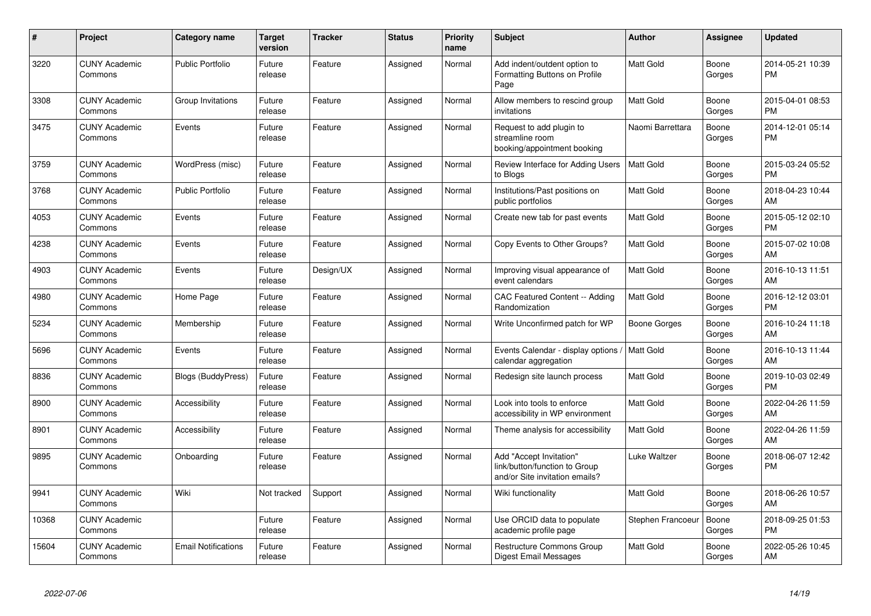| #     | <b>Project</b>                  | Category name             | <b>Target</b><br>version | <b>Tracker</b> | <b>Status</b> | <b>Priority</b><br>name | <b>Subject</b>                                                                             | Author              | <b>Assignee</b> | <b>Updated</b>                |
|-------|---------------------------------|---------------------------|--------------------------|----------------|---------------|-------------------------|--------------------------------------------------------------------------------------------|---------------------|-----------------|-------------------------------|
| 3220  | <b>CUNY Academic</b><br>Commons | <b>Public Portfolio</b>   | Future<br>release        | Feature        | Assigned      | Normal                  | Add indent/outdent option to<br>Formatting Buttons on Profile<br>Page                      | <b>Matt Gold</b>    | Boone<br>Gorges | 2014-05-21 10:39<br><b>PM</b> |
| 3308  | <b>CUNY Academic</b><br>Commons | Group Invitations         | Future<br>release        | Feature        | Assigned      | Normal                  | Allow members to rescind group<br>invitations                                              | <b>Matt Gold</b>    | Boone<br>Gorges | 2015-04-01 08:53<br><b>PM</b> |
| 3475  | <b>CUNY Academic</b><br>Commons | Events                    | Future<br>release        | Feature        | Assigned      | Normal                  | Request to add plugin to<br>streamline room<br>booking/appointment booking                 | Naomi Barrettara    | Boone<br>Gorges | 2014-12-01 05:14<br><b>PM</b> |
| 3759  | <b>CUNY Academic</b><br>Commons | WordPress (misc)          | Future<br>release        | Feature        | Assigned      | Normal                  | Review Interface for Adding Users<br>to Blogs                                              | Matt Gold           | Boone<br>Gorges | 2015-03-24 05:52<br><b>PM</b> |
| 3768  | <b>CUNY Academic</b><br>Commons | <b>Public Portfolio</b>   | Future<br>release        | Feature        | Assigned      | Normal                  | Institutions/Past positions on<br>public portfolios                                        | Matt Gold           | Boone<br>Gorges | 2018-04-23 10:44<br>AM        |
| 4053  | <b>CUNY Academic</b><br>Commons | Events                    | Future<br>release        | Feature        | Assigned      | Normal                  | Create new tab for past events                                                             | <b>Matt Gold</b>    | Boone<br>Gorges | 2015-05-12 02:10<br><b>PM</b> |
| 4238  | <b>CUNY Academic</b><br>Commons | Events                    | Future<br>release        | Feature        | Assigned      | Normal                  | Copy Events to Other Groups?                                                               | <b>Matt Gold</b>    | Boone<br>Gorges | 2015-07-02 10:08<br>AM        |
| 4903  | <b>CUNY Academic</b><br>Commons | Events                    | Future<br>release        | Design/UX      | Assigned      | Normal                  | Improving visual appearance of<br>event calendars                                          | <b>Matt Gold</b>    | Boone<br>Gorges | 2016-10-13 11:51<br>AM        |
| 4980  | <b>CUNY Academic</b><br>Commons | Home Page                 | Future<br>release        | Feature        | Assigned      | Normal                  | CAC Featured Content -- Adding<br>Randomization                                            | <b>Matt Gold</b>    | Boone<br>Gorges | 2016-12-12 03:01<br><b>PM</b> |
| 5234  | <b>CUNY Academic</b><br>Commons | Membership                | Future<br>release        | Feature        | Assigned      | Normal                  | Write Unconfirmed patch for WP                                                             | Boone Gorges        | Boone<br>Gorges | 2016-10-24 11:18<br>AM        |
| 5696  | <b>CUNY Academic</b><br>Commons | Events                    | Future<br>release        | Feature        | Assigned      | Normal                  | Events Calendar - display options<br>calendar aggregation                                  | Matt Gold           | Boone<br>Gorges | 2016-10-13 11:44<br>AM        |
| 8836  | <b>CUNY Academic</b><br>Commons | <b>Blogs (BuddyPress)</b> | Future<br>release        | Feature        | Assigned      | Normal                  | Redesign site launch process                                                               | <b>Matt Gold</b>    | Boone<br>Gorges | 2019-10-03 02:49<br><b>PM</b> |
| 8900  | <b>CUNY Academic</b><br>Commons | Accessibility             | Future<br>release        | Feature        | Assigned      | Normal                  | Look into tools to enforce<br>accessibility in WP environment                              | <b>Matt Gold</b>    | Boone<br>Gorges | 2022-04-26 11:59<br>AM        |
| 8901  | <b>CUNY Academic</b><br>Commons | Accessibility             | Future<br>release        | Feature        | Assigned      | Normal                  | Theme analysis for accessibility                                                           | <b>Matt Gold</b>    | Boone<br>Gorges | 2022-04-26 11:59<br>AM        |
| 9895  | <b>CUNY Academic</b><br>Commons | Onboarding                | Future<br>release        | Feature        | Assigned      | Normal                  | Add "Accept Invitation"<br>link/button/function to Group<br>and/or Site invitation emails? | <b>Luke Waltzer</b> | Boone<br>Gorges | 2018-06-07 12:42<br><b>PM</b> |
| 9941  | <b>CUNY Academic</b><br>Commons | Wiki                      | Not tracked              | Support        | Assigned      | Normal                  | Wiki functionality                                                                         | <b>Matt Gold</b>    | Boone<br>Gorges | 2018-06-26 10:57<br>AM        |
| 10368 | <b>CUNY Academic</b><br>Commons |                           | Future<br>release        | Feature        | Assigned      | Normal                  | Use ORCID data to populate<br>academic profile page                                        | Stephen Francoeu    | Boone<br>Gorges | 2018-09-25 01:53<br><b>PM</b> |
| 15604 | <b>CUNY Academic</b><br>Commons | Email Notifications       | Future<br>release        | Feature        | Assigned      | Normal                  | <b>Restructure Commons Group</b><br>Digest Email Messages                                  | Matt Gold           | Boone<br>Gorges | 2022-05-26 10:45<br>AM        |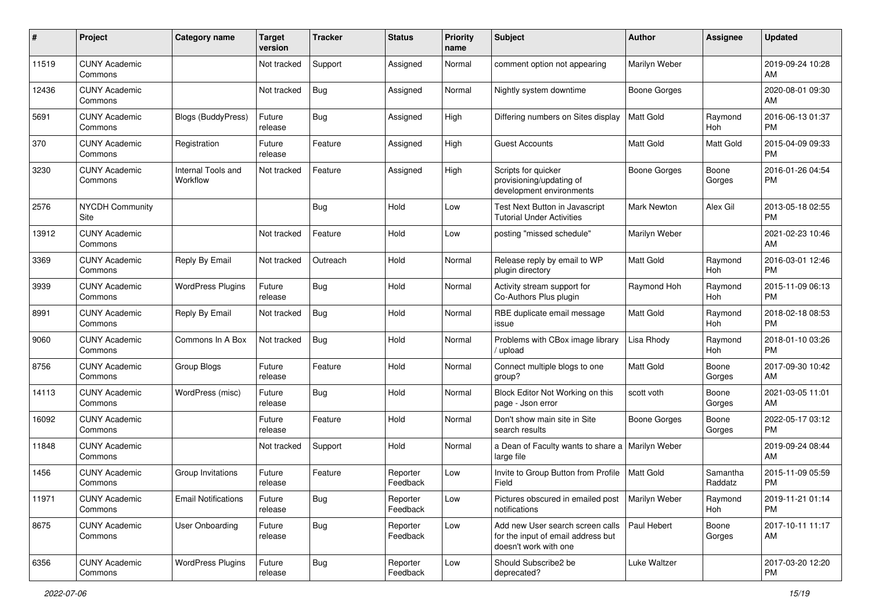| #     | Project                         | <b>Category name</b>           | <b>Target</b><br>version | <b>Tracker</b> | <b>Status</b>        | <b>Priority</b><br>name | <b>Subject</b>                                                                                  | <b>Author</b>    | Assignee            | Updated                       |
|-------|---------------------------------|--------------------------------|--------------------------|----------------|----------------------|-------------------------|-------------------------------------------------------------------------------------------------|------------------|---------------------|-------------------------------|
| 11519 | <b>CUNY Academic</b><br>Commons |                                | Not tracked              | Support        | Assigned             | Normal                  | comment option not appearing                                                                    | Marilyn Weber    |                     | 2019-09-24 10:28<br>AM        |
| 12436 | <b>CUNY Academic</b><br>Commons |                                | Not tracked              | <b>Bug</b>     | Assigned             | Normal                  | Nightly system downtime                                                                         | Boone Gorges     |                     | 2020-08-01 09:30<br>AM        |
| 5691  | <b>CUNY Academic</b><br>Commons | <b>Blogs (BuddyPress)</b>      | Future<br>release        | <b>Bug</b>     | Assigned             | High                    | Differing numbers on Sites display                                                              | Matt Gold        | Raymond<br>Hoh      | 2016-06-13 01:37<br><b>PM</b> |
| 370   | <b>CUNY Academic</b><br>Commons | Registration                   | Future<br>release        | Feature        | Assigned             | High                    | Guest Accounts                                                                                  | Matt Gold        | Matt Gold           | 2015-04-09 09:33<br><b>PM</b> |
| 3230  | <b>CUNY Academic</b><br>Commons | Internal Tools and<br>Workflow | Not tracked              | Feature        | Assigned             | High                    | Scripts for quicker<br>provisioning/updating of<br>development environments                     | Boone Gorges     | Boone<br>Gorges     | 2016-01-26 04:54<br><b>PM</b> |
| 2576  | <b>NYCDH Community</b><br>Site  |                                |                          | <b>Bug</b>     | Hold                 | Low                     | Test Next Button in Javascript<br>Tutorial Under Activities                                     | Mark Newton      | Alex Gil            | 2013-05-18 02:55<br>PM        |
| 13912 | <b>CUNY Academic</b><br>Commons |                                | Not tracked              | Feature        | Hold                 | Low                     | posting "missed schedule"                                                                       | Marilyn Weber    |                     | 2021-02-23 10:46<br>AM        |
| 3369  | <b>CUNY Academic</b><br>Commons | Reply By Email                 | Not tracked              | Outreach       | Hold                 | Normal                  | Release reply by email to WP<br>plugin directory                                                | Matt Gold        | Raymond<br>Hoh      | 2016-03-01 12:46<br>PM        |
| 3939  | <b>CUNY Academic</b><br>Commons | <b>WordPress Plugins</b>       | Future<br>release        | Bug            | Hold                 | Normal                  | Activity stream support for<br>Co-Authors Plus plugin                                           | Raymond Hoh      | Raymond<br>Hoh      | 2015-11-09 06:13<br>PM        |
| 8991  | <b>CUNY Academic</b><br>Commons | Reply By Email                 | Not tracked              | <b>Bug</b>     | Hold                 | Normal                  | RBE duplicate email message<br>issue                                                            | <b>Matt Gold</b> | Raymond<br>Hoh      | 2018-02-18 08:53<br>PM        |
| 9060  | <b>CUNY Academic</b><br>Commons | Commons In A Box               | Not tracked              | <b>Bug</b>     | Hold                 | Normal                  | Problems with CBox image library<br>upload                                                      | Lisa Rhody       | Raymond<br>Hoh      | 2018-01-10 03:26<br><b>PM</b> |
| 8756  | <b>CUNY Academic</b><br>Commons | Group Blogs                    | Future<br>release        | Feature        | Hold                 | Normal                  | Connect multiple blogs to one<br>group?                                                         | <b>Matt Gold</b> | Boone<br>Gorges     | 2017-09-30 10:42<br>AM        |
| 14113 | <b>CUNY Academic</b><br>Commons | WordPress (misc)               | Future<br>release        | Bug            | Hold                 | Normal                  | Block Editor Not Working on this<br>page - Json error                                           | scott voth       | Boone<br>Gorges     | 2021-03-05 11:01<br>AM        |
| 16092 | <b>CUNY Academic</b><br>Commons |                                | Future<br>release        | Feature        | Hold                 | Normal                  | Don't show main site in Site<br>search results                                                  | Boone Gorges     | Boone<br>Gorges     | 2022-05-17 03:12<br>PM        |
| 11848 | <b>CUNY Academic</b><br>Commons |                                | Not tracked              | Support        | Hold                 | Normal                  | a Dean of Faculty wants to share a<br>large file                                                | Marilyn Weber    |                     | 2019-09-24 08:44<br>AM        |
| 1456  | <b>CUNY Academic</b><br>Commons | Group Invitations              | Future<br>release        | Feature        | Reporter<br>Feedback | Low                     | Invite to Group Button from Profile<br>Field                                                    | Matt Gold        | Samantha<br>Raddatz | 2015-11-09 05:59<br>PM        |
| 11971 | <b>CUNY Academic</b><br>Commons | <b>Email Notifications</b>     | Future<br>release        | Bug            | Reporter<br>Feedback | Low                     | Pictures obscured in emailed post<br>notifications                                              | Marilyn Weber    | Raymond<br>Hoh      | 2019-11-21 01:14<br><b>PM</b> |
| 8675  | <b>CUNY Academic</b><br>Commons | User Onboarding                | Future<br>release        | Bug            | Reporter<br>Feedback | Low                     | Add new User search screen calls<br>for the input of email address but<br>doesn't work with one | Paul Hebert      | Boone<br>Gorges     | 2017-10-11 11:17<br>AM        |
| 6356  | <b>CUNY Academic</b><br>Commons | <b>WordPress Plugins</b>       | Future<br>release        | <b>Bug</b>     | Reporter<br>Feedback | Low                     | Should Subscribe2 be<br>deprecated?                                                             | Luke Waltzer     |                     | 2017-03-20 12:20<br>PM        |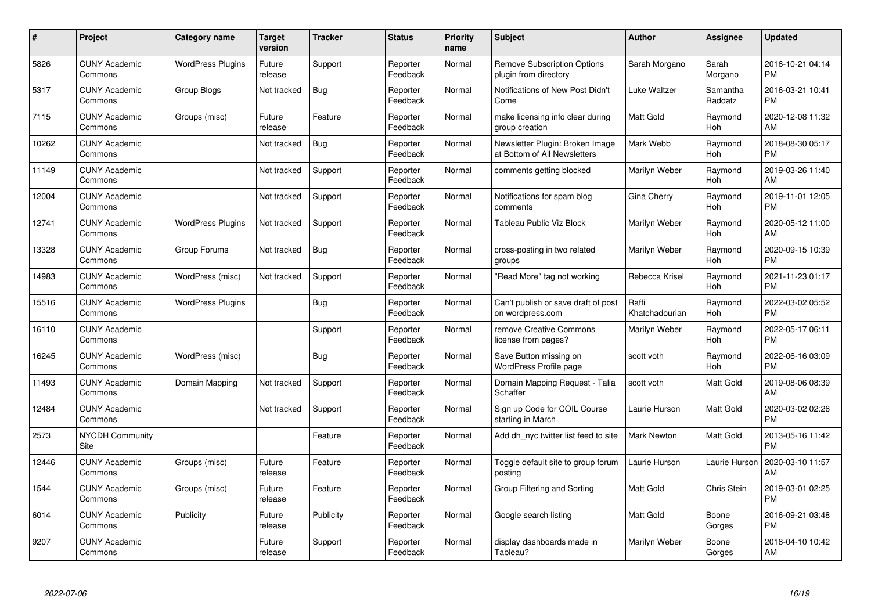| #     | <b>Project</b>                  | <b>Category name</b>     | <b>Target</b><br>version | <b>Tracker</b> | <b>Status</b>        | <b>Priority</b><br>name | <b>Subject</b>                                                  | <b>Author</b>           | Assignee            | <b>Updated</b>                |
|-------|---------------------------------|--------------------------|--------------------------|----------------|----------------------|-------------------------|-----------------------------------------------------------------|-------------------------|---------------------|-------------------------------|
| 5826  | <b>CUNY Academic</b><br>Commons | <b>WordPress Plugins</b> | Future<br>release        | Support        | Reporter<br>Feedback | Normal                  | <b>Remove Subscription Options</b><br>plugin from directory     | Sarah Morgano           | Sarah<br>Morgano    | 2016-10-21 04:14<br><b>PM</b> |
| 5317  | <b>CUNY Academic</b><br>Commons | Group Blogs              | Not tracked              | Bug            | Reporter<br>Feedback | Normal                  | Notifications of New Post Didn't<br>Come                        | Luke Waltzer            | Samantha<br>Raddatz | 2016-03-21 10:41<br><b>PM</b> |
| 7115  | <b>CUNY Academic</b><br>Commons | Groups (misc)            | Future<br>release        | Feature        | Reporter<br>Feedback | Normal                  | make licensing info clear during<br>group creation              | <b>Matt Gold</b>        | Raymond<br>Hoh      | 2020-12-08 11:32<br>AM        |
| 10262 | <b>CUNY Academic</b><br>Commons |                          | Not tracked              | Bug            | Reporter<br>Feedback | Normal                  | Newsletter Plugin: Broken Image<br>at Bottom of All Newsletters | Mark Webb               | Raymond<br>Hoh      | 2018-08-30 05:17<br><b>PM</b> |
| 11149 | <b>CUNY Academic</b><br>Commons |                          | Not tracked              | Support        | Reporter<br>Feedback | Normal                  | comments getting blocked                                        | Marilyn Weber           | Raymond<br>Hoh      | 2019-03-26 11:40<br>AM        |
| 12004 | <b>CUNY Academic</b><br>Commons |                          | Not tracked              | Support        | Reporter<br>Feedback | Normal                  | Notifications for spam blog<br>comments                         | Gina Cherry             | Raymond<br>Hoh      | 2019-11-01 12:05<br><b>PM</b> |
| 12741 | <b>CUNY Academic</b><br>Commons | <b>WordPress Plugins</b> | Not tracked              | Support        | Reporter<br>Feedback | Normal                  | <b>Tableau Public Viz Block</b>                                 | Marilyn Weber           | Raymond<br>Hoh      | 2020-05-12 11:00<br>AM        |
| 13328 | <b>CUNY Academic</b><br>Commons | Group Forums             | Not tracked              | Bug            | Reporter<br>Feedback | Normal                  | cross-posting in two related<br>groups                          | Marilyn Weber           | Raymond<br>Hoh      | 2020-09-15 10:39<br><b>PM</b> |
| 14983 | <b>CUNY Academic</b><br>Commons | WordPress (misc)         | Not tracked              | Support        | Reporter<br>Feedback | Normal                  | "Read More" tag not working                                     | Rebecca Krisel          | Raymond<br>Hoh      | 2021-11-23 01:17<br><b>PM</b> |
| 15516 | <b>CUNY Academic</b><br>Commons | <b>WordPress Plugins</b> |                          | <b>Bug</b>     | Reporter<br>Feedback | Normal                  | Can't publish or save draft of post<br>on wordpress.com         | Raffi<br>Khatchadourian | Raymond<br>Hoh      | 2022-03-02 05:52<br><b>PM</b> |
| 16110 | <b>CUNY Academic</b><br>Commons |                          |                          | Support        | Reporter<br>Feedback | Normal                  | remove Creative Commons<br>license from pages?                  | Marilyn Weber           | Raymond<br>Hoh      | 2022-05-17 06:11<br><b>PM</b> |
| 16245 | <b>CUNY Academic</b><br>Commons | WordPress (misc)         |                          | Bug            | Reporter<br>Feedback | Normal                  | Save Button missing on<br><b>WordPress Profile page</b>         | scott voth              | Raymond<br>Hoh      | 2022-06-16 03:09<br><b>PM</b> |
| 11493 | <b>CUNY Academic</b><br>Commons | Domain Mapping           | Not tracked              | Support        | Reporter<br>Feedback | Normal                  | Domain Mapping Request - Talia<br>Schaffer                      | scott voth              | Matt Gold           | 2019-08-06 08:39<br>AM        |
| 12484 | <b>CUNY Academic</b><br>Commons |                          | Not tracked              | Support        | Reporter<br>Feedback | Normal                  | Sign up Code for COIL Course<br>starting in March               | Laurie Hurson           | Matt Gold           | 2020-03-02 02:26<br><b>PM</b> |
| 2573  | <b>NYCDH Community</b><br>Site  |                          |                          | Feature        | Reporter<br>Feedback | Normal                  | Add dh_nyc twitter list feed to site                            | Mark Newton             | Matt Gold           | 2013-05-16 11:42<br><b>PM</b> |
| 12446 | <b>CUNY Academic</b><br>Commons | Groups (misc)            | Future<br>release        | Feature        | Reporter<br>Feedback | Normal                  | Toggle default site to group forum<br>posting                   | Laurie Hurson           | Laurie Hurson       | 2020-03-10 11:57<br>AM        |
| 1544  | <b>CUNY Academic</b><br>Commons | Groups (misc)            | Future<br>release        | Feature        | Reporter<br>Feedback | Normal                  | Group Filtering and Sorting                                     | <b>Matt Gold</b>        | <b>Chris Stein</b>  | 2019-03-01 02:25<br><b>PM</b> |
| 6014  | <b>CUNY Academic</b><br>Commons | Publicity                | Future<br>release        | Publicity      | Reporter<br>Feedback | Normal                  | Google search listing                                           | <b>Matt Gold</b>        | Boone<br>Gorges     | 2016-09-21 03:48<br><b>PM</b> |
| 9207  | <b>CUNY Academic</b><br>Commons |                          | Future<br>release        | Support        | Reporter<br>Feedback | Normal                  | display dashboards made in<br>Tableau?                          | Marilyn Weber           | Boone<br>Gorges     | 2018-04-10 10:42<br>AM        |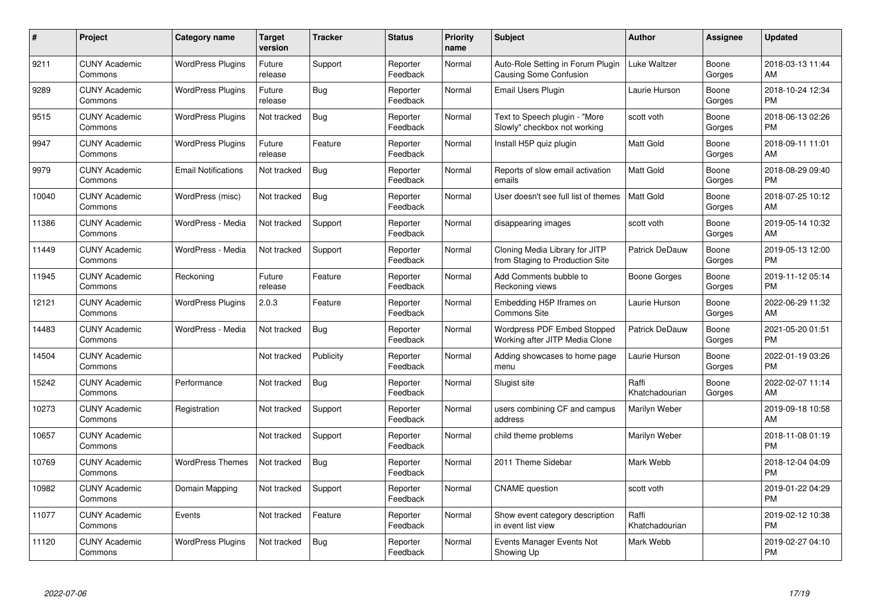| $\#$  | Project                         | <b>Category name</b>       | <b>Target</b><br>version | <b>Tracker</b> | <b>Status</b>        | <b>Priority</b><br>name | <b>Subject</b>                                                     | <b>Author</b>           | <b>Assignee</b> | <b>Updated</b>                |
|-------|---------------------------------|----------------------------|--------------------------|----------------|----------------------|-------------------------|--------------------------------------------------------------------|-------------------------|-----------------|-------------------------------|
| 9211  | <b>CUNY Academic</b><br>Commons | <b>WordPress Plugins</b>   | Future<br>release        | Support        | Reporter<br>Feedback | Normal                  | Auto-Role Setting in Forum Plugin<br><b>Causing Some Confusion</b> | <b>Luke Waltzer</b>     | Boone<br>Gorges | 2018-03-13 11:44<br>AM        |
| 9289  | <b>CUNY Academic</b><br>Commons | <b>WordPress Plugins</b>   | Future<br>release        | Bug            | Reporter<br>Feedback | Normal                  | Email Users Plugin                                                 | Laurie Hurson           | Boone<br>Gorges | 2018-10-24 12:34<br><b>PM</b> |
| 9515  | <b>CUNY Academic</b><br>Commons | <b>WordPress Plugins</b>   | Not tracked              | <b>Bug</b>     | Reporter<br>Feedback | Normal                  | Text to Speech plugin - "More<br>Slowly" checkbox not working      | scott voth              | Boone<br>Gorges | 2018-06-13 02:26<br><b>PM</b> |
| 9947  | <b>CUNY Academic</b><br>Commons | <b>WordPress Plugins</b>   | Future<br>release        | Feature        | Reporter<br>Feedback | Normal                  | Install H5P quiz plugin                                            | <b>Matt Gold</b>        | Boone<br>Gorges | 2018-09-11 11:01<br>AM        |
| 9979  | <b>CUNY Academic</b><br>Commons | <b>Email Notifications</b> | Not tracked              | Bug            | Reporter<br>Feedback | Normal                  | Reports of slow email activation<br>emails                         | <b>Matt Gold</b>        | Boone<br>Gorges | 2018-08-29 09:40<br><b>PM</b> |
| 10040 | <b>CUNY Academic</b><br>Commons | WordPress (misc)           | Not tracked              | Bug            | Reporter<br>Feedback | Normal                  | User doesn't see full list of themes                               | <b>Matt Gold</b>        | Boone<br>Gorges | 2018-07-25 10:12<br>AM        |
| 11386 | <b>CUNY Academic</b><br>Commons | WordPress - Media          | Not tracked              | Support        | Reporter<br>Feedback | Normal                  | disappearing images                                                | scott voth              | Boone<br>Gorges | 2019-05-14 10:32<br>AM        |
| 11449 | <b>CUNY Academic</b><br>Commons | WordPress - Media          | Not tracked              | Support        | Reporter<br>Feedback | Normal                  | Cloning Media Library for JITP<br>from Staging to Production Site  | <b>Patrick DeDauw</b>   | Boone<br>Gorges | 2019-05-13 12:00<br><b>PM</b> |
| 11945 | <b>CUNY Academic</b><br>Commons | Reckoning                  | Future<br>release        | Feature        | Reporter<br>Feedback | Normal                  | Add Comments bubble to<br>Reckoning views                          | Boone Gorges            | Boone<br>Gorges | 2019-11-12 05:14<br><b>PM</b> |
| 12121 | <b>CUNY Academic</b><br>Commons | <b>WordPress Plugins</b>   | 2.0.3                    | Feature        | Reporter<br>Feedback | Normal                  | Embedding H5P Iframes on<br>Commons Site                           | Laurie Hurson           | Boone<br>Gorges | 2022-06-29 11:32<br>AM        |
| 14483 | <b>CUNY Academic</b><br>Commons | WordPress - Media          | Not tracked              | Bug            | Reporter<br>Feedback | Normal                  | Wordpress PDF Embed Stopped<br>Working after JITP Media Clone      | Patrick DeDauw          | Boone<br>Gorges | 2021-05-20 01:51<br><b>PM</b> |
| 14504 | <b>CUNY Academic</b><br>Commons |                            | Not tracked              | Publicity      | Reporter<br>Feedback | Normal                  | Adding showcases to home page<br>menu                              | Laurie Hurson           | Boone<br>Gorges | 2022-01-19 03:26<br><b>PM</b> |
| 15242 | <b>CUNY Academic</b><br>Commons | Performance                | Not tracked              | Bug            | Reporter<br>Feedback | Normal                  | Slugist site                                                       | Raffi<br>Khatchadourian | Boone<br>Gorges | 2022-02-07 11:14<br>AM        |
| 10273 | <b>CUNY Academic</b><br>Commons | Registration               | Not tracked              | Support        | Reporter<br>Feedback | Normal                  | users combining CF and campus<br>address                           | Marilyn Weber           |                 | 2019-09-18 10:58<br>AM        |
| 10657 | <b>CUNY Academic</b><br>Commons |                            | Not tracked              | Support        | Reporter<br>Feedback | Normal                  | child theme problems                                               | Marilyn Weber           |                 | 2018-11-08 01:19<br><b>PM</b> |
| 10769 | <b>CUNY Academic</b><br>Commons | <b>WordPress Themes</b>    | Not tracked              | <b>Bug</b>     | Reporter<br>Feedback | Normal                  | 2011 Theme Sidebar                                                 | Mark Webb               |                 | 2018-12-04 04:09<br><b>PM</b> |
| 10982 | <b>CUNY Academic</b><br>Commons | Domain Mapping             | Not tracked              | Support        | Reporter<br>Feedback | Normal                  | <b>CNAME</b> question                                              | scott voth              |                 | 2019-01-22 04:29<br><b>PM</b> |
| 11077 | <b>CUNY Academic</b><br>Commons | Events                     | Not tracked              | Feature        | Reporter<br>Feedback | Normal                  | Show event category description<br>in event list view              | Raffi<br>Khatchadourian |                 | 2019-02-12 10:38<br><b>PM</b> |
| 11120 | CUNY Academic<br>Commons        | <b>WordPress Plugins</b>   | Not tracked              | Bug            | Reporter<br>Feedback | Normal                  | Events Manager Events Not<br>Showing Up                            | Mark Webb               |                 | 2019-02-27 04:10<br><b>PM</b> |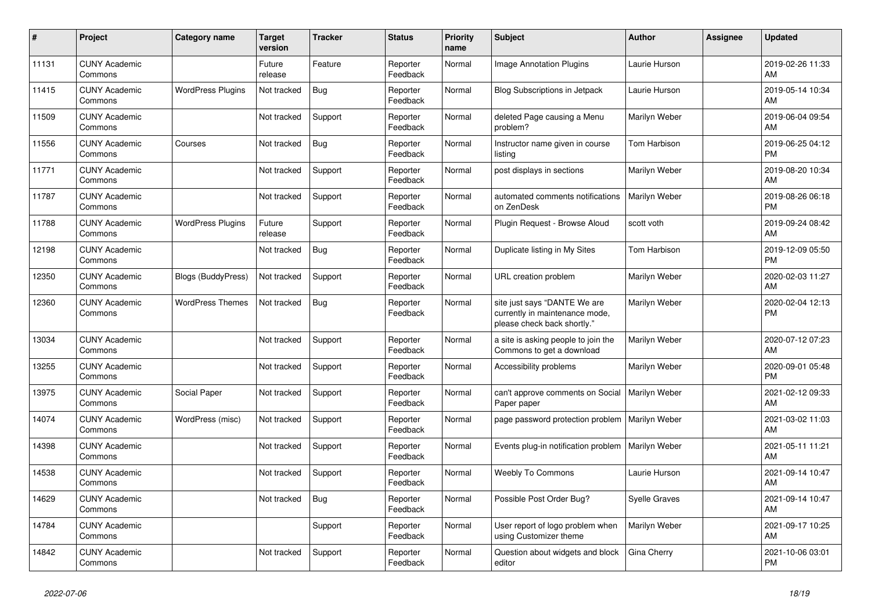| #     | Project                         | <b>Category name</b>      | <b>Target</b><br>version | <b>Tracker</b> | <b>Status</b>        | <b>Priority</b><br>name | <b>Subject</b>                                                                                | <b>Author</b>        | <b>Assignee</b> | <b>Updated</b>                |
|-------|---------------------------------|---------------------------|--------------------------|----------------|----------------------|-------------------------|-----------------------------------------------------------------------------------------------|----------------------|-----------------|-------------------------------|
| 11131 | <b>CUNY Academic</b><br>Commons |                           | Future<br>release        | Feature        | Reporter<br>Feedback | Normal                  | <b>Image Annotation Plugins</b>                                                               | Laurie Hurson        |                 | 2019-02-26 11:33<br>AM        |
| 11415 | <b>CUNY Academic</b><br>Commons | <b>WordPress Plugins</b>  | Not tracked              | <b>Bug</b>     | Reporter<br>Feedback | Normal                  | Blog Subscriptions in Jetpack                                                                 | Laurie Hurson        |                 | 2019-05-14 10:34<br>AM        |
| 11509 | <b>CUNY Academic</b><br>Commons |                           | Not tracked              | Support        | Reporter<br>Feedback | Normal                  | deleted Page causing a Menu<br>problem?                                                       | Marilyn Weber        |                 | 2019-06-04 09:54<br>AM        |
| 11556 | <b>CUNY Academic</b><br>Commons | Courses                   | Not tracked              | <b>Bug</b>     | Reporter<br>Feedback | Normal                  | Instructor name given in course<br>listing                                                    | Tom Harbison         |                 | 2019-06-25 04:12<br>PM        |
| 11771 | <b>CUNY Academic</b><br>Commons |                           | Not tracked              | Support        | Reporter<br>Feedback | Normal                  | post displays in sections                                                                     | Marilyn Weber        |                 | 2019-08-20 10:34<br>AM        |
| 11787 | <b>CUNY Academic</b><br>Commons |                           | Not tracked              | Support        | Reporter<br>Feedback | Normal                  | automated comments notifications<br>on ZenDesk                                                | Marilyn Weber        |                 | 2019-08-26 06:18<br><b>PM</b> |
| 11788 | <b>CUNY Academic</b><br>Commons | <b>WordPress Plugins</b>  | Future<br>release        | Support        | Reporter<br>Feedback | Normal                  | Plugin Request - Browse Aloud                                                                 | scott voth           |                 | 2019-09-24 08:42<br>AM        |
| 12198 | <b>CUNY Academic</b><br>Commons |                           | Not tracked              | <b>Bug</b>     | Reporter<br>Feedback | Normal                  | Duplicate listing in My Sites                                                                 | Tom Harbison         |                 | 2019-12-09 05:50<br>PM        |
| 12350 | <b>CUNY Academic</b><br>Commons | <b>Blogs (BuddyPress)</b> | Not tracked              | Support        | Reporter<br>Feedback | Normal                  | URL creation problem                                                                          | Marilyn Weber        |                 | 2020-02-03 11:27<br>AM        |
| 12360 | <b>CUNY Academic</b><br>Commons | <b>WordPress Themes</b>   | Not tracked              | <b>Bug</b>     | Reporter<br>Feedback | Normal                  | site just says "DANTE We are<br>currently in maintenance mode,<br>please check back shortly." | Marilyn Weber        |                 | 2020-02-04 12:13<br>PM        |
| 13034 | <b>CUNY Academic</b><br>Commons |                           | Not tracked              | Support        | Reporter<br>Feedback | Normal                  | a site is asking people to join the<br>Commons to get a download                              | Marilyn Weber        |                 | 2020-07-12 07:23<br>AM        |
| 13255 | <b>CUNY Academic</b><br>Commons |                           | Not tracked              | Support        | Reporter<br>Feedback | Normal                  | Accessibility problems                                                                        | Marilyn Weber        |                 | 2020-09-01 05:48<br><b>PM</b> |
| 13975 | <b>CUNY Academic</b><br>Commons | Social Paper              | Not tracked              | Support        | Reporter<br>Feedback | Normal                  | can't approve comments on Social<br>Paper paper                                               | Marilyn Weber        |                 | 2021-02-12 09:33<br>AM        |
| 14074 | <b>CUNY Academic</b><br>Commons | WordPress (misc)          | Not tracked              | Support        | Reporter<br>Feedback | Normal                  | page password protection problem                                                              | Marilyn Weber        |                 | 2021-03-02 11:03<br>AM        |
| 14398 | <b>CUNY Academic</b><br>Commons |                           | Not tracked              | Support        | Reporter<br>Feedback | Normal                  | Events plug-in notification problem                                                           | Marilyn Weber        |                 | 2021-05-11 11:21<br>AM        |
| 14538 | <b>CUNY Academic</b><br>Commons |                           | Not tracked              | Support        | Reporter<br>Feedback | Normal                  | <b>Weebly To Commons</b>                                                                      | Laurie Hurson        |                 | 2021-09-14 10:47<br>AM        |
| 14629 | <b>CUNY Academic</b><br>Commons |                           | Not tracked              | <b>Bug</b>     | Reporter<br>Feedback | Normal                  | Possible Post Order Bug?                                                                      | <b>Syelle Graves</b> |                 | 2021-09-14 10:47<br>AM        |
| 14784 | <b>CUNY Academic</b><br>Commons |                           |                          | Support        | Reporter<br>Feedback | Normal                  | User report of logo problem when<br>using Customizer theme                                    | Marilyn Weber        |                 | 2021-09-17 10:25<br>AM        |
| 14842 | <b>CUNY Academic</b><br>Commons |                           | Not tracked              | Support        | Reporter<br>Feedback | Normal                  | Question about widgets and block<br>editor                                                    | Gina Cherry          |                 | 2021-10-06 03:01<br>PM        |